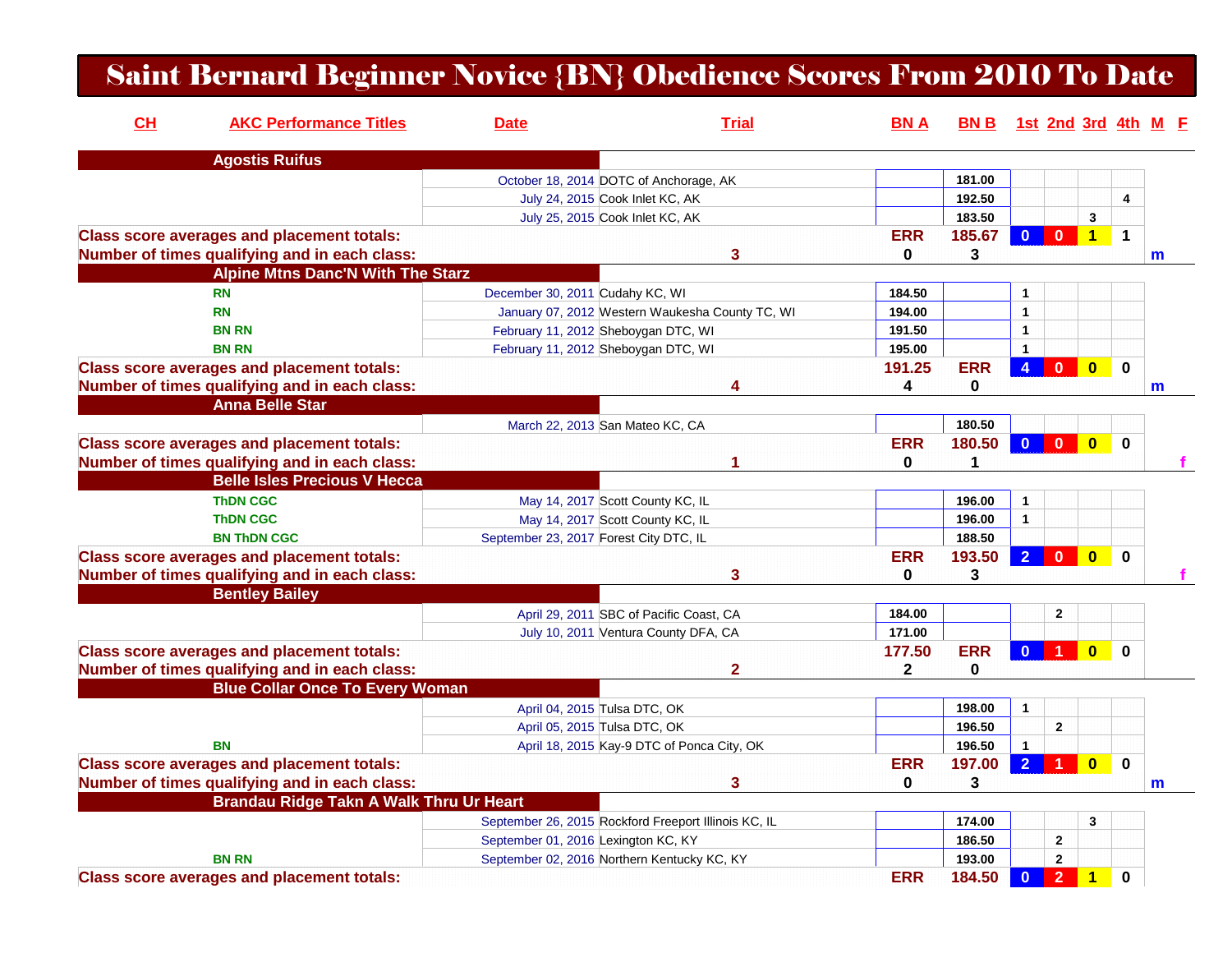## Saint Bernard Beginner Novice {BN} Obedience Scores From 2010 To Date

| <b>Agostis Ruifus</b><br>181.00<br>October 18, 2014 DOTC of Anchorage, AK<br>192.50<br>4<br>July 24, 2015 Cook Inlet KC, AK<br>183.50<br>3<br>July 25, 2015 Cook Inlet KC, AK<br><b>Class score averages and placement totals:</b><br><b>ERR</b><br>185.67<br>$\bf{0}$<br>$1 -$<br>$\mathbf 1$<br>$\mathbf{0}$<br>Number of times qualifying and in each class:<br>3<br>$\bf{0}$<br>3<br>$\mathsf{m}$<br><b>Alpine Mtns Danc'N With The Starz</b><br><b>RN</b><br>184.50<br>December 30, 2011 Cudahy KC, WI<br>-1<br><b>RN</b><br>194.00<br>January 07, 2012 Western Waukesha County TC, WI<br>$\mathbf{1}$<br><b>BN RN</b><br>191.50<br>February 11, 2012 Sheboygan DTC, WI<br>$\mathbf{1}$<br>195.00<br><b>BN RN</b><br>February 11, 2012 Sheboygan DTC, WI<br>$\mathbf{1}$<br><b>ERR</b><br>$\overline{0}$<br>$\mathbf 0$<br><b>Class score averages and placement totals:</b><br>191.25<br>$\overline{4}$<br>$\mathbf{0}$<br>Number of times qualifying and in each class:<br>4<br>0<br>4<br>m<br><b>Anna Belle Star</b><br>180.50<br>March 22, 2013 San Mateo KC, CA<br><b>ERR</b><br>180.50<br><b>Class score averages and placement totals:</b><br>$\mathbf{0}$<br>$\mathbf{0}$<br>$\overline{0}$<br>$\mathbf 0$<br>$\mathbf{0}$<br>Number of times qualifying and in each class:<br>1<br>1<br><b>Belle Isles Precious V Hecca</b><br><b>ThDN CGC</b><br>196.00<br>May 14, 2017 Scott County KC, IL<br>$\mathbf{1}$<br>196.00<br>$\mathbf{1}$<br><b>ThDN CGC</b><br>May 14, 2017 Scott County KC, IL<br><b>BN THDN CGC</b><br>September 23, 2017 Forest City DTC, IL<br>188.50<br><b>ERR</b><br>$\overline{2}$<br>$\overline{\mathbf{0}}$<br><b>Class score averages and placement totals:</b><br>193.50<br>$\mathbf{0}$<br>$\bf{0}$<br>Number of times qualifying and in each class:<br>3<br>3<br>$\bf{0}$<br><b>Bentley Bailey</b><br>April 29, 2011 SBC of Pacific Coast, CA<br>184.00<br>$\overline{2}$<br>171.00<br>July 10, 2011 Ventura County DFA, CA<br><b>ERR</b><br><b>Class score averages and placement totals:</b><br>177.50<br>$\mathbf{0}$<br>$\Omega$<br>0<br>Number of times qualifying and in each class:<br>2<br>$\mathbf{2}$<br>0<br><b>Blue Collar Once To Every Woman</b><br>April 04, 2015 Tulsa DTC, OK<br>198.00<br>$\mathbf{1}$<br>196.50<br>$\mathbf{2}$<br>April 05, 2015 Tulsa DTC, OK<br><b>BN</b><br>April 18, 2015 Kay-9 DTC of Ponca City, OK<br>196.50<br>$\overline{1}$<br><b>ERR</b><br>$\overline{2}$<br>$\mathbf 0$<br><b>Class score averages and placement totals:</b><br>197.00<br>$\mathbf{0}$<br>Number of times qualifying and in each class:<br>3<br>$\mathbf{0}$<br>3<br>m<br>Brandau Ridge Takn A Walk Thru Ur Heart<br>September 26, 2015 Rockford Freeport Illinois KC, IL<br>174.00<br>3<br>September 01, 2016 Lexington KC, KY<br>186.50<br>$\mathbf{2}$<br><b>BN RN</b><br>193.00<br>$\overline{2}$<br>September 02, 2016 Northern Kentucky KC, KY<br>$\overline{2}$<br><b>Class score averages and placement totals:</b> | CL | <b>AKC Performance Titles</b> | <b>Date</b> | <b>Trial</b> | <b>BNA</b> |        |                         |                         |   | BN B 1st 2nd 3rd 4th M F |
|---------------------------------------------------------------------------------------------------------------------------------------------------------------------------------------------------------------------------------------------------------------------------------------------------------------------------------------------------------------------------------------------------------------------------------------------------------------------------------------------------------------------------------------------------------------------------------------------------------------------------------------------------------------------------------------------------------------------------------------------------------------------------------------------------------------------------------------------------------------------------------------------------------------------------------------------------------------------------------------------------------------------------------------------------------------------------------------------------------------------------------------------------------------------------------------------------------------------------------------------------------------------------------------------------------------------------------------------------------------------------------------------------------------------------------------------------------------------------------------------------------------------------------------------------------------------------------------------------------------------------------------------------------------------------------------------------------------------------------------------------------------------------------------------------------------------------------------------------------------------------------------------------------------------------------------------------------------------------------------------------------------------------------------------------------------------------------------------------------------------------------------------------------------------------------------------------------------------------------------------------------------------------------------------------------------------------------------------------------------------------------------------------------------------------------------------------------------------------------------------------------------------------------------------------------------------------------------------------------------------------------------------------------------------------------------------------------------------------------------------------------------------------------------------------------------------------------------------------------------------------------------------------------------------------------------------------------------------------------------|----|-------------------------------|-------------|--------------|------------|--------|-------------------------|-------------------------|---|--------------------------|
|                                                                                                                                                                                                                                                                                                                                                                                                                                                                                                                                                                                                                                                                                                                                                                                                                                                                                                                                                                                                                                                                                                                                                                                                                                                                                                                                                                                                                                                                                                                                                                                                                                                                                                                                                                                                                                                                                                                                                                                                                                                                                                                                                                                                                                                                                                                                                                                                                                                                                                                                                                                                                                                                                                                                                                                                                                                                                                                                                                                       |    |                               |             |              |            |        |                         |                         |   |                          |
|                                                                                                                                                                                                                                                                                                                                                                                                                                                                                                                                                                                                                                                                                                                                                                                                                                                                                                                                                                                                                                                                                                                                                                                                                                                                                                                                                                                                                                                                                                                                                                                                                                                                                                                                                                                                                                                                                                                                                                                                                                                                                                                                                                                                                                                                                                                                                                                                                                                                                                                                                                                                                                                                                                                                                                                                                                                                                                                                                                                       |    |                               |             |              |            |        |                         |                         |   |                          |
|                                                                                                                                                                                                                                                                                                                                                                                                                                                                                                                                                                                                                                                                                                                                                                                                                                                                                                                                                                                                                                                                                                                                                                                                                                                                                                                                                                                                                                                                                                                                                                                                                                                                                                                                                                                                                                                                                                                                                                                                                                                                                                                                                                                                                                                                                                                                                                                                                                                                                                                                                                                                                                                                                                                                                                                                                                                                                                                                                                                       |    |                               |             |              |            |        |                         |                         |   |                          |
|                                                                                                                                                                                                                                                                                                                                                                                                                                                                                                                                                                                                                                                                                                                                                                                                                                                                                                                                                                                                                                                                                                                                                                                                                                                                                                                                                                                                                                                                                                                                                                                                                                                                                                                                                                                                                                                                                                                                                                                                                                                                                                                                                                                                                                                                                                                                                                                                                                                                                                                                                                                                                                                                                                                                                                                                                                                                                                                                                                                       |    |                               |             |              |            |        |                         |                         |   |                          |
|                                                                                                                                                                                                                                                                                                                                                                                                                                                                                                                                                                                                                                                                                                                                                                                                                                                                                                                                                                                                                                                                                                                                                                                                                                                                                                                                                                                                                                                                                                                                                                                                                                                                                                                                                                                                                                                                                                                                                                                                                                                                                                                                                                                                                                                                                                                                                                                                                                                                                                                                                                                                                                                                                                                                                                                                                                                                                                                                                                                       |    |                               |             |              |            |        |                         |                         |   |                          |
|                                                                                                                                                                                                                                                                                                                                                                                                                                                                                                                                                                                                                                                                                                                                                                                                                                                                                                                                                                                                                                                                                                                                                                                                                                                                                                                                                                                                                                                                                                                                                                                                                                                                                                                                                                                                                                                                                                                                                                                                                                                                                                                                                                                                                                                                                                                                                                                                                                                                                                                                                                                                                                                                                                                                                                                                                                                                                                                                                                                       |    |                               |             |              |            |        |                         |                         |   |                          |
|                                                                                                                                                                                                                                                                                                                                                                                                                                                                                                                                                                                                                                                                                                                                                                                                                                                                                                                                                                                                                                                                                                                                                                                                                                                                                                                                                                                                                                                                                                                                                                                                                                                                                                                                                                                                                                                                                                                                                                                                                                                                                                                                                                                                                                                                                                                                                                                                                                                                                                                                                                                                                                                                                                                                                                                                                                                                                                                                                                                       |    |                               |             |              |            |        |                         |                         |   |                          |
|                                                                                                                                                                                                                                                                                                                                                                                                                                                                                                                                                                                                                                                                                                                                                                                                                                                                                                                                                                                                                                                                                                                                                                                                                                                                                                                                                                                                                                                                                                                                                                                                                                                                                                                                                                                                                                                                                                                                                                                                                                                                                                                                                                                                                                                                                                                                                                                                                                                                                                                                                                                                                                                                                                                                                                                                                                                                                                                                                                                       |    |                               |             |              |            |        |                         |                         |   |                          |
|                                                                                                                                                                                                                                                                                                                                                                                                                                                                                                                                                                                                                                                                                                                                                                                                                                                                                                                                                                                                                                                                                                                                                                                                                                                                                                                                                                                                                                                                                                                                                                                                                                                                                                                                                                                                                                                                                                                                                                                                                                                                                                                                                                                                                                                                                                                                                                                                                                                                                                                                                                                                                                                                                                                                                                                                                                                                                                                                                                                       |    |                               |             |              |            |        |                         |                         |   |                          |
|                                                                                                                                                                                                                                                                                                                                                                                                                                                                                                                                                                                                                                                                                                                                                                                                                                                                                                                                                                                                                                                                                                                                                                                                                                                                                                                                                                                                                                                                                                                                                                                                                                                                                                                                                                                                                                                                                                                                                                                                                                                                                                                                                                                                                                                                                                                                                                                                                                                                                                                                                                                                                                                                                                                                                                                                                                                                                                                                                                                       |    |                               |             |              |            |        |                         |                         |   |                          |
|                                                                                                                                                                                                                                                                                                                                                                                                                                                                                                                                                                                                                                                                                                                                                                                                                                                                                                                                                                                                                                                                                                                                                                                                                                                                                                                                                                                                                                                                                                                                                                                                                                                                                                                                                                                                                                                                                                                                                                                                                                                                                                                                                                                                                                                                                                                                                                                                                                                                                                                                                                                                                                                                                                                                                                                                                                                                                                                                                                                       |    |                               |             |              |            |        |                         |                         |   |                          |
|                                                                                                                                                                                                                                                                                                                                                                                                                                                                                                                                                                                                                                                                                                                                                                                                                                                                                                                                                                                                                                                                                                                                                                                                                                                                                                                                                                                                                                                                                                                                                                                                                                                                                                                                                                                                                                                                                                                                                                                                                                                                                                                                                                                                                                                                                                                                                                                                                                                                                                                                                                                                                                                                                                                                                                                                                                                                                                                                                                                       |    |                               |             |              |            |        |                         |                         |   |                          |
|                                                                                                                                                                                                                                                                                                                                                                                                                                                                                                                                                                                                                                                                                                                                                                                                                                                                                                                                                                                                                                                                                                                                                                                                                                                                                                                                                                                                                                                                                                                                                                                                                                                                                                                                                                                                                                                                                                                                                                                                                                                                                                                                                                                                                                                                                                                                                                                                                                                                                                                                                                                                                                                                                                                                                                                                                                                                                                                                                                                       |    |                               |             |              |            |        |                         |                         |   |                          |
|                                                                                                                                                                                                                                                                                                                                                                                                                                                                                                                                                                                                                                                                                                                                                                                                                                                                                                                                                                                                                                                                                                                                                                                                                                                                                                                                                                                                                                                                                                                                                                                                                                                                                                                                                                                                                                                                                                                                                                                                                                                                                                                                                                                                                                                                                                                                                                                                                                                                                                                                                                                                                                                                                                                                                                                                                                                                                                                                                                                       |    |                               |             |              |            |        |                         |                         |   |                          |
|                                                                                                                                                                                                                                                                                                                                                                                                                                                                                                                                                                                                                                                                                                                                                                                                                                                                                                                                                                                                                                                                                                                                                                                                                                                                                                                                                                                                                                                                                                                                                                                                                                                                                                                                                                                                                                                                                                                                                                                                                                                                                                                                                                                                                                                                                                                                                                                                                                                                                                                                                                                                                                                                                                                                                                                                                                                                                                                                                                                       |    |                               |             |              |            |        |                         |                         |   |                          |
|                                                                                                                                                                                                                                                                                                                                                                                                                                                                                                                                                                                                                                                                                                                                                                                                                                                                                                                                                                                                                                                                                                                                                                                                                                                                                                                                                                                                                                                                                                                                                                                                                                                                                                                                                                                                                                                                                                                                                                                                                                                                                                                                                                                                                                                                                                                                                                                                                                                                                                                                                                                                                                                                                                                                                                                                                                                                                                                                                                                       |    |                               |             |              |            |        |                         |                         |   |                          |
|                                                                                                                                                                                                                                                                                                                                                                                                                                                                                                                                                                                                                                                                                                                                                                                                                                                                                                                                                                                                                                                                                                                                                                                                                                                                                                                                                                                                                                                                                                                                                                                                                                                                                                                                                                                                                                                                                                                                                                                                                                                                                                                                                                                                                                                                                                                                                                                                                                                                                                                                                                                                                                                                                                                                                                                                                                                                                                                                                                                       |    |                               |             |              |            |        |                         |                         |   |                          |
|                                                                                                                                                                                                                                                                                                                                                                                                                                                                                                                                                                                                                                                                                                                                                                                                                                                                                                                                                                                                                                                                                                                                                                                                                                                                                                                                                                                                                                                                                                                                                                                                                                                                                                                                                                                                                                                                                                                                                                                                                                                                                                                                                                                                                                                                                                                                                                                                                                                                                                                                                                                                                                                                                                                                                                                                                                                                                                                                                                                       |    |                               |             |              |            |        |                         |                         |   |                          |
|                                                                                                                                                                                                                                                                                                                                                                                                                                                                                                                                                                                                                                                                                                                                                                                                                                                                                                                                                                                                                                                                                                                                                                                                                                                                                                                                                                                                                                                                                                                                                                                                                                                                                                                                                                                                                                                                                                                                                                                                                                                                                                                                                                                                                                                                                                                                                                                                                                                                                                                                                                                                                                                                                                                                                                                                                                                                                                                                                                                       |    |                               |             |              |            |        |                         |                         |   |                          |
|                                                                                                                                                                                                                                                                                                                                                                                                                                                                                                                                                                                                                                                                                                                                                                                                                                                                                                                                                                                                                                                                                                                                                                                                                                                                                                                                                                                                                                                                                                                                                                                                                                                                                                                                                                                                                                                                                                                                                                                                                                                                                                                                                                                                                                                                                                                                                                                                                                                                                                                                                                                                                                                                                                                                                                                                                                                                                                                                                                                       |    |                               |             |              |            |        |                         |                         |   |                          |
|                                                                                                                                                                                                                                                                                                                                                                                                                                                                                                                                                                                                                                                                                                                                                                                                                                                                                                                                                                                                                                                                                                                                                                                                                                                                                                                                                                                                                                                                                                                                                                                                                                                                                                                                                                                                                                                                                                                                                                                                                                                                                                                                                                                                                                                                                                                                                                                                                                                                                                                                                                                                                                                                                                                                                                                                                                                                                                                                                                                       |    |                               |             |              |            |        |                         |                         |   |                          |
|                                                                                                                                                                                                                                                                                                                                                                                                                                                                                                                                                                                                                                                                                                                                                                                                                                                                                                                                                                                                                                                                                                                                                                                                                                                                                                                                                                                                                                                                                                                                                                                                                                                                                                                                                                                                                                                                                                                                                                                                                                                                                                                                                                                                                                                                                                                                                                                                                                                                                                                                                                                                                                                                                                                                                                                                                                                                                                                                                                                       |    |                               |             |              |            |        |                         |                         |   |                          |
|                                                                                                                                                                                                                                                                                                                                                                                                                                                                                                                                                                                                                                                                                                                                                                                                                                                                                                                                                                                                                                                                                                                                                                                                                                                                                                                                                                                                                                                                                                                                                                                                                                                                                                                                                                                                                                                                                                                                                                                                                                                                                                                                                                                                                                                                                                                                                                                                                                                                                                                                                                                                                                                                                                                                                                                                                                                                                                                                                                                       |    |                               |             |              |            |        |                         |                         |   |                          |
|                                                                                                                                                                                                                                                                                                                                                                                                                                                                                                                                                                                                                                                                                                                                                                                                                                                                                                                                                                                                                                                                                                                                                                                                                                                                                                                                                                                                                                                                                                                                                                                                                                                                                                                                                                                                                                                                                                                                                                                                                                                                                                                                                                                                                                                                                                                                                                                                                                                                                                                                                                                                                                                                                                                                                                                                                                                                                                                                                                                       |    |                               |             |              |            |        |                         |                         |   |                          |
|                                                                                                                                                                                                                                                                                                                                                                                                                                                                                                                                                                                                                                                                                                                                                                                                                                                                                                                                                                                                                                                                                                                                                                                                                                                                                                                                                                                                                                                                                                                                                                                                                                                                                                                                                                                                                                                                                                                                                                                                                                                                                                                                                                                                                                                                                                                                                                                                                                                                                                                                                                                                                                                                                                                                                                                                                                                                                                                                                                                       |    |                               |             |              |            |        |                         |                         |   |                          |
|                                                                                                                                                                                                                                                                                                                                                                                                                                                                                                                                                                                                                                                                                                                                                                                                                                                                                                                                                                                                                                                                                                                                                                                                                                                                                                                                                                                                                                                                                                                                                                                                                                                                                                                                                                                                                                                                                                                                                                                                                                                                                                                                                                                                                                                                                                                                                                                                                                                                                                                                                                                                                                                                                                                                                                                                                                                                                                                                                                                       |    |                               |             |              |            |        |                         |                         |   |                          |
|                                                                                                                                                                                                                                                                                                                                                                                                                                                                                                                                                                                                                                                                                                                                                                                                                                                                                                                                                                                                                                                                                                                                                                                                                                                                                                                                                                                                                                                                                                                                                                                                                                                                                                                                                                                                                                                                                                                                                                                                                                                                                                                                                                                                                                                                                                                                                                                                                                                                                                                                                                                                                                                                                                                                                                                                                                                                                                                                                                                       |    |                               |             |              |            |        |                         |                         |   |                          |
|                                                                                                                                                                                                                                                                                                                                                                                                                                                                                                                                                                                                                                                                                                                                                                                                                                                                                                                                                                                                                                                                                                                                                                                                                                                                                                                                                                                                                                                                                                                                                                                                                                                                                                                                                                                                                                                                                                                                                                                                                                                                                                                                                                                                                                                                                                                                                                                                                                                                                                                                                                                                                                                                                                                                                                                                                                                                                                                                                                                       |    |                               |             |              |            |        |                         |                         |   |                          |
|                                                                                                                                                                                                                                                                                                                                                                                                                                                                                                                                                                                                                                                                                                                                                                                                                                                                                                                                                                                                                                                                                                                                                                                                                                                                                                                                                                                                                                                                                                                                                                                                                                                                                                                                                                                                                                                                                                                                                                                                                                                                                                                                                                                                                                                                                                                                                                                                                                                                                                                                                                                                                                                                                                                                                                                                                                                                                                                                                                                       |    |                               |             |              |            |        |                         |                         |   |                          |
|                                                                                                                                                                                                                                                                                                                                                                                                                                                                                                                                                                                                                                                                                                                                                                                                                                                                                                                                                                                                                                                                                                                                                                                                                                                                                                                                                                                                                                                                                                                                                                                                                                                                                                                                                                                                                                                                                                                                                                                                                                                                                                                                                                                                                                                                                                                                                                                                                                                                                                                                                                                                                                                                                                                                                                                                                                                                                                                                                                                       |    |                               |             |              |            |        |                         |                         |   |                          |
|                                                                                                                                                                                                                                                                                                                                                                                                                                                                                                                                                                                                                                                                                                                                                                                                                                                                                                                                                                                                                                                                                                                                                                                                                                                                                                                                                                                                                                                                                                                                                                                                                                                                                                                                                                                                                                                                                                                                                                                                                                                                                                                                                                                                                                                                                                                                                                                                                                                                                                                                                                                                                                                                                                                                                                                                                                                                                                                                                                                       |    |                               |             |              |            |        |                         |                         |   |                          |
|                                                                                                                                                                                                                                                                                                                                                                                                                                                                                                                                                                                                                                                                                                                                                                                                                                                                                                                                                                                                                                                                                                                                                                                                                                                                                                                                                                                                                                                                                                                                                                                                                                                                                                                                                                                                                                                                                                                                                                                                                                                                                                                                                                                                                                                                                                                                                                                                                                                                                                                                                                                                                                                                                                                                                                                                                                                                                                                                                                                       |    |                               |             |              |            |        |                         |                         |   |                          |
|                                                                                                                                                                                                                                                                                                                                                                                                                                                                                                                                                                                                                                                                                                                                                                                                                                                                                                                                                                                                                                                                                                                                                                                                                                                                                                                                                                                                                                                                                                                                                                                                                                                                                                                                                                                                                                                                                                                                                                                                                                                                                                                                                                                                                                                                                                                                                                                                                                                                                                                                                                                                                                                                                                                                                                                                                                                                                                                                                                                       |    |                               |             |              |            |        |                         |                         |   |                          |
|                                                                                                                                                                                                                                                                                                                                                                                                                                                                                                                                                                                                                                                                                                                                                                                                                                                                                                                                                                                                                                                                                                                                                                                                                                                                                                                                                                                                                                                                                                                                                                                                                                                                                                                                                                                                                                                                                                                                                                                                                                                                                                                                                                                                                                                                                                                                                                                                                                                                                                                                                                                                                                                                                                                                                                                                                                                                                                                                                                                       |    |                               |             |              |            |        |                         |                         |   |                          |
|                                                                                                                                                                                                                                                                                                                                                                                                                                                                                                                                                                                                                                                                                                                                                                                                                                                                                                                                                                                                                                                                                                                                                                                                                                                                                                                                                                                                                                                                                                                                                                                                                                                                                                                                                                                                                                                                                                                                                                                                                                                                                                                                                                                                                                                                                                                                                                                                                                                                                                                                                                                                                                                                                                                                                                                                                                                                                                                                                                                       |    |                               |             |              |            |        |                         |                         |   |                          |
|                                                                                                                                                                                                                                                                                                                                                                                                                                                                                                                                                                                                                                                                                                                                                                                                                                                                                                                                                                                                                                                                                                                                                                                                                                                                                                                                                                                                                                                                                                                                                                                                                                                                                                                                                                                                                                                                                                                                                                                                                                                                                                                                                                                                                                                                                                                                                                                                                                                                                                                                                                                                                                                                                                                                                                                                                                                                                                                                                                                       |    |                               |             |              |            |        |                         |                         |   |                          |
|                                                                                                                                                                                                                                                                                                                                                                                                                                                                                                                                                                                                                                                                                                                                                                                                                                                                                                                                                                                                                                                                                                                                                                                                                                                                                                                                                                                                                                                                                                                                                                                                                                                                                                                                                                                                                                                                                                                                                                                                                                                                                                                                                                                                                                                                                                                                                                                                                                                                                                                                                                                                                                                                                                                                                                                                                                                                                                                                                                                       |    |                               |             |              |            |        |                         |                         |   |                          |
|                                                                                                                                                                                                                                                                                                                                                                                                                                                                                                                                                                                                                                                                                                                                                                                                                                                                                                                                                                                                                                                                                                                                                                                                                                                                                                                                                                                                                                                                                                                                                                                                                                                                                                                                                                                                                                                                                                                                                                                                                                                                                                                                                                                                                                                                                                                                                                                                                                                                                                                                                                                                                                                                                                                                                                                                                                                                                                                                                                                       |    |                               |             |              |            |        |                         |                         |   |                          |
|                                                                                                                                                                                                                                                                                                                                                                                                                                                                                                                                                                                                                                                                                                                                                                                                                                                                                                                                                                                                                                                                                                                                                                                                                                                                                                                                                                                                                                                                                                                                                                                                                                                                                                                                                                                                                                                                                                                                                                                                                                                                                                                                                                                                                                                                                                                                                                                                                                                                                                                                                                                                                                                                                                                                                                                                                                                                                                                                                                                       |    |                               |             |              | <b>ERR</b> | 184.50 | $\overline{\mathbf{0}}$ | $\overline{\mathbf{1}}$ | 0 |                          |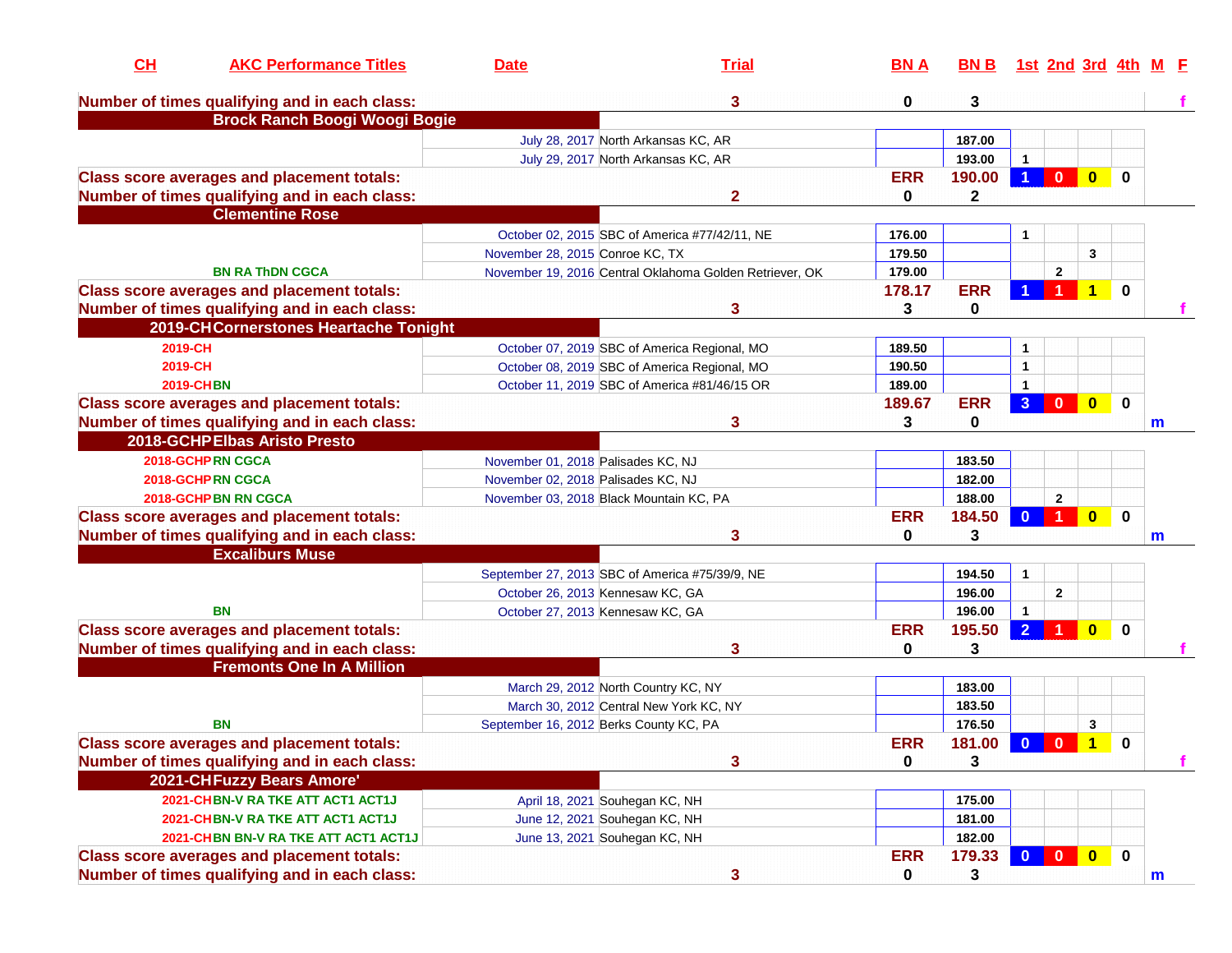| CL      | <b>AKC Performance Titles</b>                                           | <b>Date</b>                        | <b>Trial</b>                                            | <b>BNA</b>  | BN B 1st 2nd 3rd 4th M E |                         |                         |                         |              |              |
|---------|-------------------------------------------------------------------------|------------------------------------|---------------------------------------------------------|-------------|--------------------------|-------------------------|-------------------------|-------------------------|--------------|--------------|
|         | Number of times qualifying and in each class:                           |                                    | 3                                                       | 0           | 3                        |                         |                         |                         |              |              |
|         | <b>Brock Ranch Boogi Woogi Bogie</b>                                    |                                    |                                                         |             |                          |                         |                         |                         |              |              |
|         |                                                                         |                                    | July 28, 2017 North Arkansas KC, AR                     |             | 187.00                   |                         |                         |                         |              |              |
|         |                                                                         |                                    | July 29, 2017 North Arkansas KC, AR                     |             | 193.00                   | $\mathbf{1}$            |                         |                         |              |              |
|         | <b>Class score averages and placement totals:</b>                       |                                    |                                                         | <b>ERR</b>  | 190.00                   | $\overline{1}$          | $\mathbf{0}$            | $\overline{\mathbf{0}}$ | $\mathbf{0}$ |              |
|         | Number of times qualifying and in each class:<br><b>Clementine Rose</b> |                                    | $\mathbf{2}$                                            | 0           | $\mathbf{2}$             |                         |                         |                         |              |              |
|         |                                                                         |                                    | October 02, 2015 SBC of America #77/42/11, NE           | 176.00      |                          | 1                       |                         |                         |              |              |
|         |                                                                         | November 28, 2015 Conroe KC, TX    |                                                         | 179.50      |                          |                         |                         | 3                       |              |              |
|         | <b>BN RA THDN CGCA</b>                                                  |                                    | November 19, 2016 Central Oklahoma Golden Retriever, OK | 179.00      |                          |                         | $\mathbf{2}$            |                         |              |              |
|         | <b>Class score averages and placement totals:</b>                       |                                    |                                                         | 178.17      | <b>ERR</b>               |                         |                         |                         | $\mathbf{0}$ |              |
|         | Number of times qualifying and in each class:                           |                                    | 3                                                       | 3           | 0                        |                         |                         |                         |              |              |
|         | 2019-CHCornerstones Heartache Tonight                                   |                                    |                                                         |             |                          |                         |                         |                         |              |              |
| 2019-CH |                                                                         |                                    | October 07, 2019 SBC of America Regional, MO            | 189.50      |                          | 1                       |                         |                         |              |              |
| 2019-CH |                                                                         |                                    | October 08, 2019 SBC of America Regional, MO            | 190.50      |                          | $\mathbf{1}$            |                         |                         |              |              |
|         | <b>2019-CHBN</b>                                                        |                                    | October 11, 2019 SBC of America #81/46/15 OR            | 189.00      |                          | -1                      |                         |                         |              |              |
|         | <b>Class score averages and placement totals:</b>                       |                                    |                                                         | 189.67      | <b>ERR</b>               | $\overline{3}$          | $\mathbf{0}$            | $\mathbf{0}$            | $\mathbf 0$  |              |
|         | Number of times qualifying and in each class:                           |                                    | 3                                                       | 3           | 0                        |                         |                         |                         |              | m            |
|         | 2018-GCHP Elbas Aristo Presto                                           |                                    |                                                         |             |                          |                         |                         |                         |              |              |
|         | 2018-GCHPRN CGCA                                                        | November 01, 2018 Palisades KC, NJ |                                                         |             | 183.50                   |                         |                         |                         |              |              |
|         | 2018-GCHPRN CGCA                                                        | November 02, 2018 Palisades KC, NJ |                                                         |             | 182.00                   |                         |                         |                         |              |              |
|         | 2018-GCHP BN RN CGCA                                                    |                                    | November 03, 2018 Black Mountain KC, PA                 |             | 188.00                   |                         | $\mathbf{2}$            |                         |              |              |
|         | <b>Class score averages and placement totals:</b>                       |                                    |                                                         | <b>ERR</b>  | 184.50                   | $\Omega$                |                         | $\bf{0}$                | $\mathbf{0}$ |              |
|         | Number of times qualifying and in each class:                           |                                    | 3                                                       | 0           | 3                        |                         |                         |                         |              | m            |
|         | <b>Excaliburs Muse</b>                                                  |                                    |                                                         |             |                          |                         |                         |                         |              |              |
|         |                                                                         |                                    | September 27, 2013 SBC of America #75/39/9, NE          |             | 194.50                   | $\mathbf{1}$            |                         |                         |              |              |
|         |                                                                         |                                    | October 26, 2013 Kennesaw KC, GA                        |             | 196.00                   |                         | $\mathbf{2}$            |                         |              |              |
|         | <b>BN</b>                                                               |                                    | October 27, 2013 Kennesaw KC, GA                        |             | 196.00                   | $\mathbf{1}$            |                         |                         |              |              |
|         | <b>Class score averages and placement totals:</b>                       |                                    |                                                         | <b>ERR</b>  | 195.50                   | $\overline{2}$          |                         | $\bf{0}$                | $\bf{0}$     |              |
|         | Number of times qualifying and in each class:                           |                                    | 3                                                       | 0           | 3                        |                         |                         |                         |              |              |
|         | <b>Fremonts One In A Million</b>                                        |                                    |                                                         |             |                          |                         |                         |                         |              |              |
|         |                                                                         |                                    |                                                         |             |                          |                         |                         |                         |              |              |
|         |                                                                         |                                    | March 29, 2012 North Country KC, NY                     |             | 183.00                   |                         |                         |                         |              |              |
|         |                                                                         |                                    | March 30, 2012 Central New York KC, NY                  |             | 183.50                   |                         |                         |                         |              |              |
|         | <b>BN</b>                                                               |                                    | September 16, 2012 Berks County KC, PA                  |             | 176.50                   |                         |                         | 3                       |              |              |
|         | <b>Class score averages and placement totals:</b>                       |                                    |                                                         | <b>ERR</b>  | 181.00                   | $\overline{\mathbf{0}}$ | $\overline{\mathbf{0}}$ | $\mathbf{1}$            | $\mathbf 0$  |              |
|         | Number of times qualifying and in each class:                           |                                    | 3                                                       | 0           | 3                        |                         |                         |                         |              |              |
|         | <b>2021-CHFuzzy Bears Amore'</b>                                        |                                    |                                                         |             |                          |                         |                         |                         |              |              |
|         | 2021-CHBN-V RA TKE ATT ACT1 ACT1J                                       |                                    | April 18, 2021 Souhegan KC, NH                          |             | 175.00                   |                         |                         |                         |              |              |
|         | 2021-CHBN-V RA TKE ATT ACT1 ACT1J                                       |                                    | June 12, 2021 Souhegan KC, NH                           |             | 181.00                   |                         |                         |                         |              |              |
|         | 2021-CHBN BN-V RA TKE ATT ACT1 ACT1J                                    |                                    | June 13, 2021 Souhegan KC, NH                           |             | 182.00                   |                         |                         |                         |              |              |
|         | <b>Class score averages and placement totals:</b>                       |                                    |                                                         | <b>ERR</b>  | 179.33                   | $\mathbf{0}$            | $\overline{\mathbf{0}}$ | $\overline{\mathbf{0}}$ | $\bf{0}$     |              |
|         | Number of times qualifying and in each class:                           |                                    | 3                                                       | $\mathbf 0$ | 3                        |                         |                         |                         |              | $\mathbf{m}$ |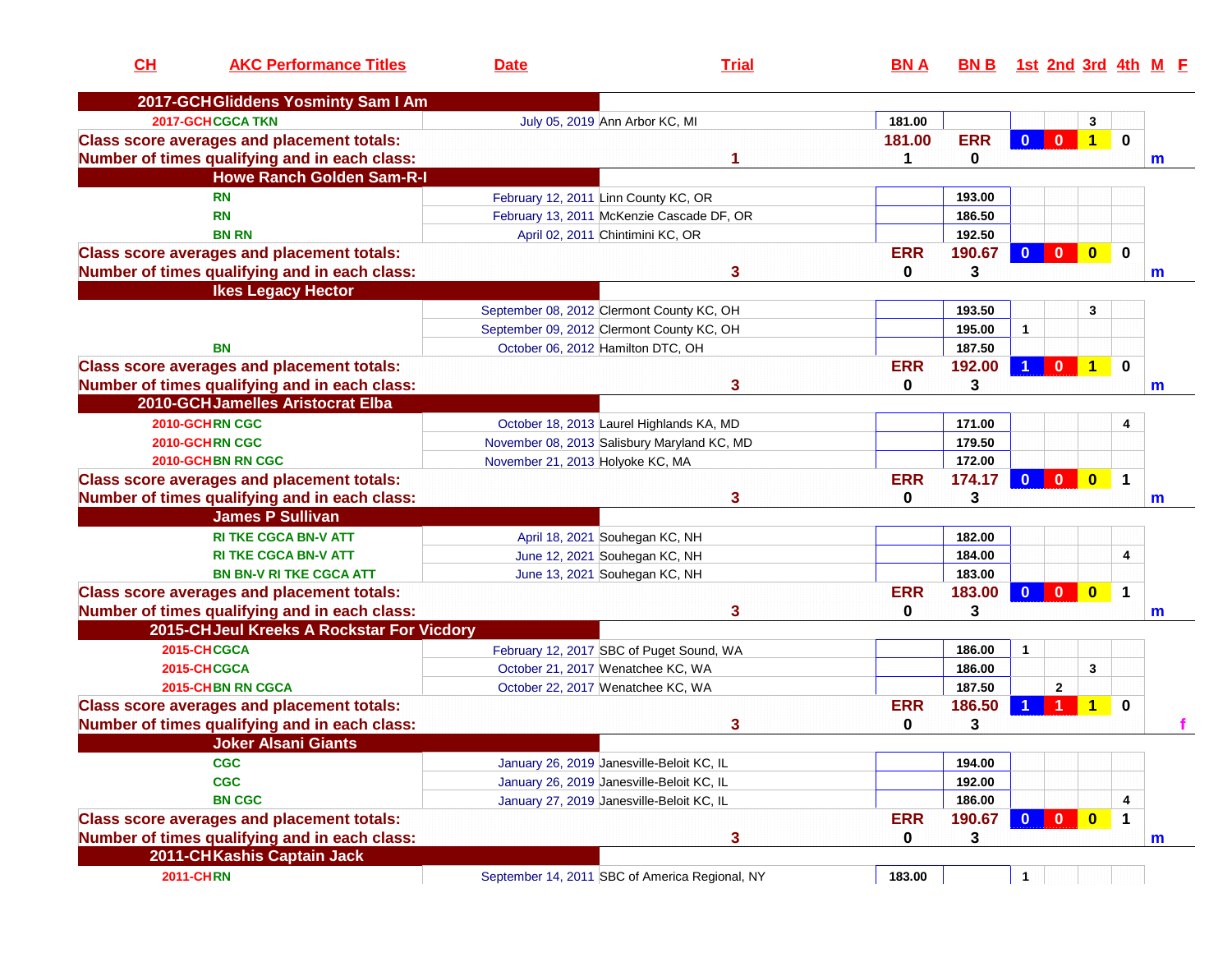| CL               | <b>AKC Performance Titles</b>                     | <b>Date</b>                               | <b>Trial</b>                                   | <b>BNA</b> | BN B 1st 2nd 3rd 4th M E |                         |                         |                         |              |   |
|------------------|---------------------------------------------------|-------------------------------------------|------------------------------------------------|------------|--------------------------|-------------------------|-------------------------|-------------------------|--------------|---|
|                  | 2017-GCHGliddens Yosminty Sam I Am                |                                           |                                                |            |                          |                         |                         |                         |              |   |
|                  | <b>2017-GCHCGCA TKN</b>                           | July 05, 2019 Ann Arbor KC, MI            |                                                | 181.00     |                          |                         |                         | 3                       |              |   |
|                  | <b>Class score averages and placement totals:</b> |                                           |                                                | 181.00     | <b>ERR</b>               | $\mathbf{0}$            | $\mathbf{0}$            | $\overline{1}$          | $\mathbf{0}$ |   |
|                  | Number of times qualifying and in each class:     |                                           |                                                | 1          | 0                        |                         |                         |                         |              | m |
|                  | <b>Howe Ranch Golden Sam-R-I</b>                  |                                           |                                                |            |                          |                         |                         |                         |              |   |
|                  | <b>RN</b>                                         | February 12, 2011 Linn County KC, OR      |                                                |            | 193.00                   |                         |                         |                         |              |   |
|                  | <b>RN</b>                                         |                                           | February 13, 2011 McKenzie Cascade DF, OR      |            | 186.50                   |                         |                         |                         |              |   |
|                  | <b>BN RN</b>                                      | April 02, 2011 Chintimini KC, OR          |                                                |            | 192.50                   |                         |                         |                         |              |   |
|                  | <b>Class score averages and placement totals:</b> |                                           |                                                | <b>ERR</b> | 190.67                   | $\mathbf{0}$            | $\overline{\mathbf{0}}$ | $\bullet$               | $\mathbf 0$  |   |
|                  | Number of times qualifying and in each class:     |                                           | 3                                              | 0          | 3                        |                         |                         |                         |              | m |
|                  | <b>Ikes Legacy Hector</b>                         |                                           |                                                |            |                          |                         |                         |                         |              |   |
|                  |                                                   | September 08, 2012 Clermont County KC, OH |                                                |            | 193.50                   |                         |                         | 3                       |              |   |
|                  |                                                   | September 09, 2012 Clermont County KC, OH |                                                |            | 195.00                   | $\mathbf{1}$            |                         |                         |              |   |
|                  | <b>BN</b>                                         | October 06, 2012 Hamilton DTC, OH         |                                                |            | 187.50                   |                         |                         |                         |              |   |
|                  | <b>Class score averages and placement totals:</b> |                                           |                                                | <b>ERR</b> | 192.00                   |                         | $\mathbf{0}$            | $\overline{1}$          | $\mathbf 0$  |   |
|                  | Number of times qualifying and in each class:     |                                           | 3                                              | 0          | 3                        |                         |                         |                         |              | m |
|                  | 2010-GCHJamelles Aristocrat Elba                  |                                           |                                                |            |                          |                         |                         |                         |              |   |
|                  | 2010-GCHRN CGC                                    |                                           | October 18, 2013 Laurel Highlands KA, MD       |            | 171.00                   |                         |                         |                         | 4            |   |
|                  | 2010-GCHRN CGC                                    |                                           | November 08, 2013 Salisbury Maryland KC, MD    |            | 179.50                   |                         |                         |                         |              |   |
|                  | 2010-GCHBN RN CGC                                 | November 21, 2013 Holyoke KC, MA          |                                                |            | 172.00                   |                         |                         |                         |              |   |
|                  | <b>Class score averages and placement totals:</b> |                                           |                                                | <b>ERR</b> | 174.17                   | $\mathbf{0}$            | $\mathbf{0}$            | $\overline{\mathbf{0}}$ | $\mathbf 1$  |   |
|                  | Number of times qualifying and in each class:     |                                           | 3                                              | 0          | 3                        |                         |                         |                         |              | m |
|                  | <b>James P Sullivan</b>                           |                                           |                                                |            |                          |                         |                         |                         |              |   |
|                  | <b>RI TKE CGCA BN-V ATT</b>                       | April 18, 2021 Souhegan KC, NH            |                                                |            | 182.00                   |                         |                         |                         |              |   |
|                  | <b>RI TKE CGCA BN-V ATT</b>                       | June 12, 2021 Souhegan KC, NH             |                                                |            | 184.00                   |                         |                         |                         | 4            |   |
|                  | <b>BN BN-V RI TKE CGCA ATT</b>                    | June 13, 2021 Souhegan KC, NH             |                                                |            | 183.00                   |                         |                         |                         |              |   |
|                  | <b>Class score averages and placement totals:</b> |                                           |                                                | <b>ERR</b> | 183.00                   | $\overline{\mathbf{0}}$ | $\mathbf{0}$            | $\overline{\mathbf{0}}$ | 1            |   |
|                  | Number of times qualifying and in each class:     |                                           | 3                                              | 0          | 3                        |                         |                         |                         |              | m |
|                  | 2015-CHJeul Kreeks A Rockstar For Vicdory         |                                           |                                                |            |                          |                         |                         |                         |              |   |
|                  | 2015-CHCGCA                                       |                                           | February 12, 2017 SBC of Puget Sound, WA       |            | 186.00                   | 1                       |                         |                         |              |   |
|                  | 2015-CHCGCA                                       | October 21, 2017 Wenatchee KC, WA         |                                                |            | 186.00                   |                         |                         | 3                       |              |   |
|                  | 2015-CHBN RN CGCA                                 | October 22, 2017 Wenatchee KC, WA         |                                                |            | 187.50                   |                         | $\mathbf{2}$            |                         |              |   |
|                  | <b>Class score averages and placement totals:</b> |                                           |                                                | <b>ERR</b> | 186.50                   |                         | 1                       | 1                       | $\mathbf 0$  |   |
|                  | Number of times qualifying and in each class:     |                                           | 3                                              | 0          | 3                        |                         |                         |                         |              |   |
|                  | <b>Joker Alsani Giants</b>                        |                                           |                                                |            |                          |                         |                         |                         |              |   |
|                  | <b>CGC</b>                                        | January 26, 2019 Janesville-Beloit KC, IL |                                                |            | 194.00                   |                         |                         |                         |              |   |
|                  | <b>CGC</b>                                        | January 26, 2019 Janesville-Beloit KC, IL |                                                |            | 192.00                   |                         |                         |                         |              |   |
|                  | <b>BN CGC</b>                                     | January 27, 2019 Janesville-Beloit KC, IL |                                                |            | 186.00                   |                         |                         |                         | 4            |   |
|                  | <b>Class score averages and placement totals:</b> |                                           |                                                | <b>ERR</b> | 190.67                   | $\mathbf{0}$            | $\mathbf{0}$            | $\bullet$               | $\mathbf 1$  |   |
|                  | Number of times qualifying and in each class:     |                                           | 3                                              | 0          | 3                        |                         |                         |                         |              | m |
|                  | 2011-CHKashis Captain Jack                        |                                           |                                                |            |                          |                         |                         |                         |              |   |
| <b>2011-CHRN</b> |                                                   |                                           | September 14, 2011 SBC of America Regional, NY | 183.00     |                          | 1                       |                         |                         |              |   |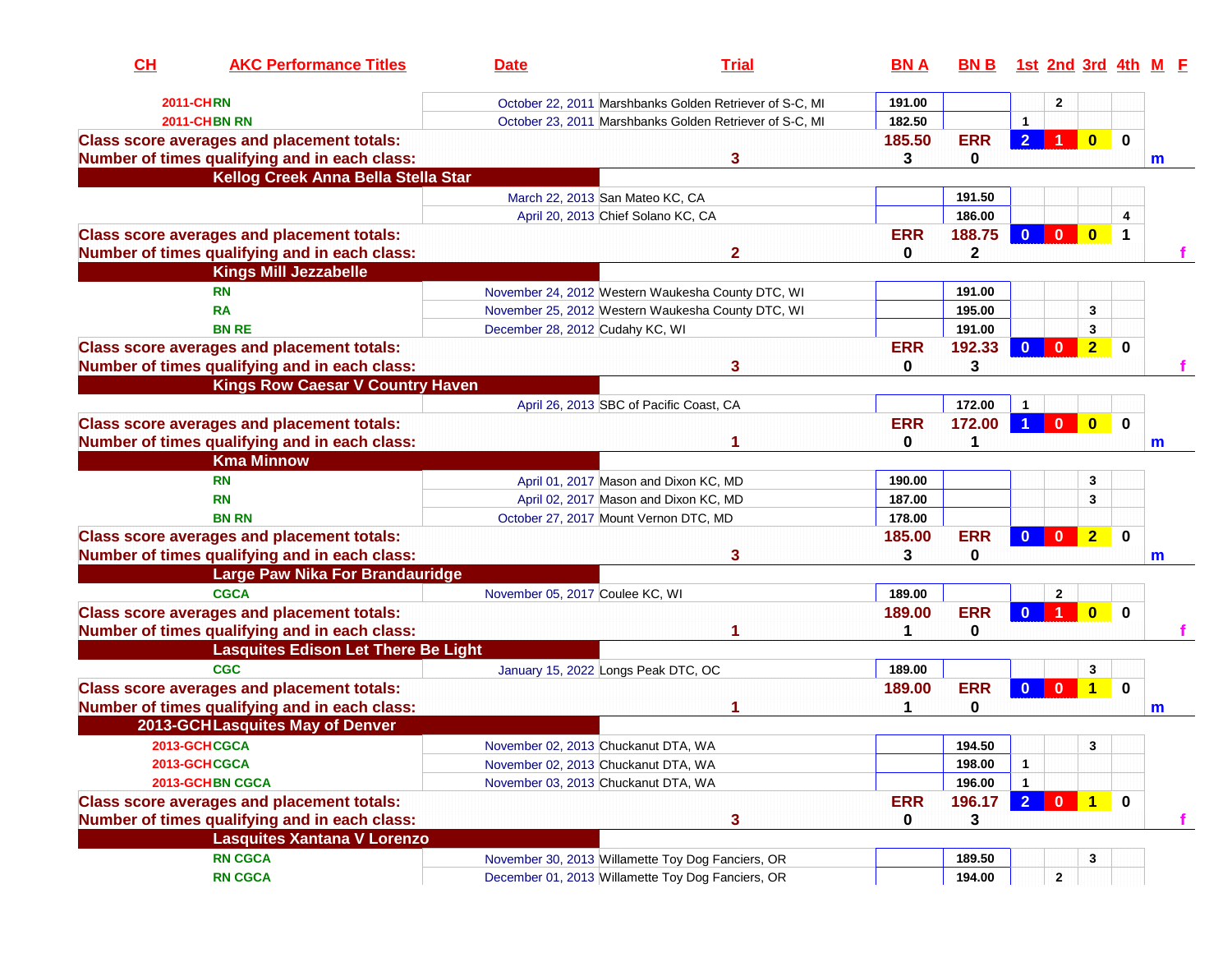| CH | <b>AKC Performance Titles</b>                     | <b>Date</b>                         | <b>Trial</b>                                            | <b>BNA</b>  | <b>BNB</b> |                |              |                      |             | <u>1st 2nd 3rd 4th M F</u> |
|----|---------------------------------------------------|-------------------------------------|---------------------------------------------------------|-------------|------------|----------------|--------------|----------------------|-------------|----------------------------|
|    | <b>2011-CHRN</b>                                  |                                     | October 22, 2011 Marshbanks Golden Retriever of S-C, MI | 191.00      |            |                | $\mathbf{2}$ |                      |             |                            |
|    | <b>2011-CHBN RN</b>                               |                                     | October 23, 2011 Marshbanks Golden Retriever of S-C, MI | 182.50      |            | $\mathbf{1}$   |              |                      |             |                            |
|    | <b>Class score averages and placement totals:</b> |                                     |                                                         | 185.50      | <b>ERR</b> | $\overline{2}$ |              | $\mathbf{0}$         | $\mathbf 0$ |                            |
|    | Number of times qualifying and in each class:     |                                     | 3.                                                      | 3           | 0          |                |              |                      |             | $\mathsf{m}$               |
|    | Kellog Creek Anna Bella Stella Star               |                                     |                                                         |             |            |                |              |                      |             |                            |
|    |                                                   | March 22, 2013 San Mateo KC, CA     |                                                         |             | 191.50     |                |              |                      |             |                            |
|    |                                                   |                                     | April 20, 2013 Chief Solano KC, CA                      |             | 186.00     |                |              |                      | 4           |                            |
|    | <b>Class score averages and placement totals:</b> |                                     |                                                         | <b>ERR</b>  | 188.75     | $\mathbf{0}$   | $\mathbf{0}$ | $\mathbf{0}$         | $\mathbf 1$ |                            |
|    | Number of times qualifying and in each class:     |                                     | $\mathbf{2}$                                            | $\mathbf 0$ | 2          |                |              |                      |             |                            |
|    | <b>Kings Mill Jezzabelle</b>                      |                                     |                                                         |             |            |                |              |                      |             |                            |
|    | <b>RN</b>                                         |                                     | November 24, 2012 Western Waukesha County DTC, WI       |             | 191.00     |                |              |                      |             |                            |
|    | <b>RA</b>                                         |                                     | November 25, 2012 Western Waukesha County DTC, WI       |             | 195.00     |                |              | 3                    |             |                            |
|    | <b>BN RE</b>                                      | December 28, 2012 Cudahy KC, WI     |                                                         |             | 191.00     |                |              | 3                    |             |                            |
|    | <b>Class score averages and placement totals:</b> |                                     |                                                         | <b>ERR</b>  | 192.33     | $\mathbf{0}$   | $\mathbf{0}$ | $\overline{2}$       | 0           |                            |
|    | Number of times qualifying and in each class:     |                                     | 3                                                       | 0           | 3          |                |              |                      |             |                            |
|    | <b>Kings Row Caesar V Country Haven</b>           |                                     |                                                         |             |            |                |              |                      |             |                            |
|    |                                                   |                                     | April 26, 2013 SBC of Pacific Coast, CA                 |             | 172.00     |                |              |                      |             |                            |
|    | <b>Class score averages and placement totals:</b> |                                     |                                                         | <b>ERR</b>  | 172.00     |                | $\mathbf{0}$ | $\mathbf{0}$         | $\bf{0}$    |                            |
|    | Number of times qualifying and in each class:     |                                     |                                                         | $\mathbf 0$ | 1          |                |              |                      |             | m                          |
|    | <b>Kma Minnow</b>                                 |                                     |                                                         |             |            |                |              |                      |             |                            |
|    | <b>RN</b>                                         |                                     | April 01, 2017 Mason and Dixon KC, MD                   | 190.00      |            |                |              | 3                    |             |                            |
|    | <b>RN</b>                                         |                                     | April 02, 2017 Mason and Dixon KC, MD                   | 187.00      |            |                |              | 3                    |             |                            |
|    | <b>BN RN</b>                                      |                                     | October 27, 2017 Mount Vernon DTC, MD                   | 178.00      |            |                |              |                      |             |                            |
|    | <b>Class score averages and placement totals:</b> |                                     |                                                         | 185.00      | <b>ERR</b> | $\mathbf{0}$   | $\mathbf{0}$ | $\overline{2}$       | $\mathbf 0$ |                            |
|    | Number of times qualifying and in each class:     |                                     | 3                                                       | 3           | 0          |                |              |                      |             | m                          |
|    | <b>Large Paw Nika For Brandauridge</b>            |                                     |                                                         |             |            |                |              |                      |             |                            |
|    | <b>CGCA</b>                                       | November 05, 2017 Coulee KC, WI     |                                                         | 189.00      |            |                | $\mathbf{2}$ |                      |             |                            |
|    | <b>Class score averages and placement totals:</b> |                                     |                                                         | 189.00      | <b>ERR</b> | $\mathbf{0}$   | $\mathbf{1}$ | $\mathbf{0}$         | $\bf{0}$    |                            |
|    | Number of times qualifying and in each class:     |                                     |                                                         | 1           | 0          |                |              |                      |             |                            |
|    | <b>Lasquites Edison Let There Be Light</b>        |                                     |                                                         |             |            |                |              |                      |             |                            |
|    | <b>CGC</b>                                        | January 15, 2022 Longs Peak DTC, OC |                                                         | 189.00      |            |                |              | 3                    |             |                            |
|    | <b>Class score averages and placement totals:</b> |                                     |                                                         | 189.00      | <b>ERR</b> | $\mathbf{0}$   | $\mathbf{0}$ | $\blacktriangleleft$ | $\mathbf 0$ |                            |
|    | Number of times qualifying and in each class:     |                                     |                                                         | 1           | 0          |                |              |                      |             | m                          |
|    | 2013-GCHLasquites May of Denver                   |                                     |                                                         |             |            |                |              |                      |             |                            |
|    | 2013-GCHCGCA                                      | November 02, 2013 Chuckanut DTA, WA |                                                         |             | 194.50     |                |              | 3                    |             |                            |
|    | 2013-GCHCGCA                                      | November 02, 2013 Chuckanut DTA, WA |                                                         |             | 198.00     | 1              |              |                      |             |                            |
|    | 2013-GCHBN CGCA                                   | November 03, 2013 Chuckanut DTA, WA |                                                         |             | 196.00     |                |              |                      |             |                            |
|    | <b>Class score averages and placement totals:</b> |                                     |                                                         | <b>ERR</b>  | 196.17     | 2 <sup>1</sup> |              |                      | $\mathbf 0$ |                            |
|    | Number of times qualifying and in each class:     |                                     | 3                                                       | 0           | 3          |                |              |                      |             |                            |
|    | <b>Lasquites Xantana V Lorenzo</b>                |                                     |                                                         |             |            |                |              |                      |             |                            |
|    | <b>RN CGCA</b>                                    |                                     | November 30, 2013 Willamette Toy Dog Fanciers, OR       |             | 189.50     |                |              | 3                    |             |                            |
|    | <b>RN CGCA</b>                                    |                                     | December 01, 2013 Willamette Toy Dog Fanciers, OR       |             | 194.00     |                | $\mathbf{2}$ |                      |             |                            |
|    |                                                   |                                     |                                                         |             |            |                |              |                      |             |                            |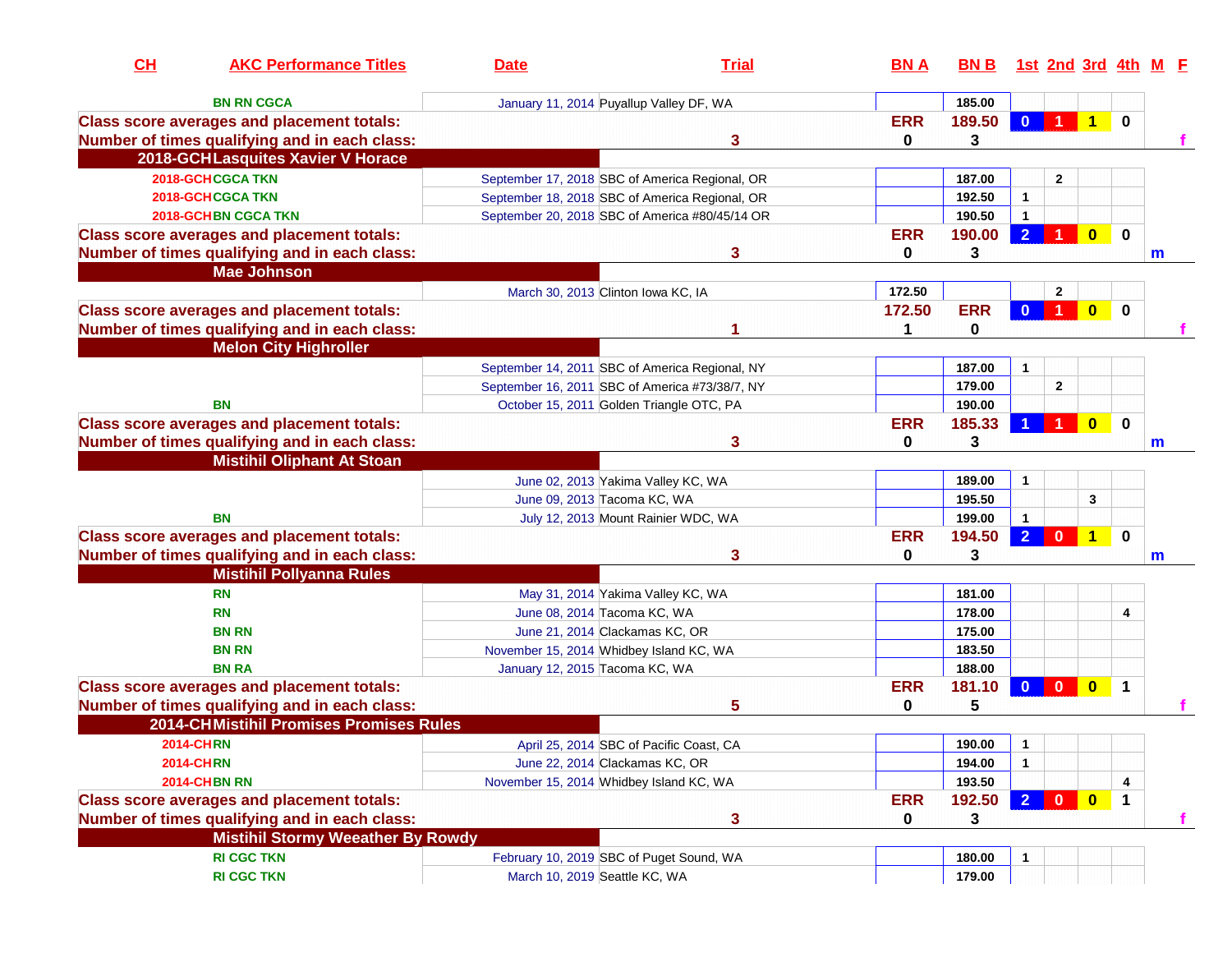| CH | <b>AKC Performance Titles</b>                     | <b>Date</b>                              | <b>Trial</b>                                   | <b>BNA</b>  | <u>BN B</u> |                | 1st 2nd 3rd 4th M F |              |              |   |  |
|----|---------------------------------------------------|------------------------------------------|------------------------------------------------|-------------|-------------|----------------|---------------------|--------------|--------------|---|--|
|    | <b>BN RN CGCA</b>                                 | January 11, 2014 Puyallup Valley DF, WA  |                                                |             | 185.00      |                |                     |              |              |   |  |
|    | <b>Class score averages and placement totals:</b> |                                          |                                                | <b>ERR</b>  | 189.50      | $\mathbf{0}$   |                     | 1            | $\bf{0}$     |   |  |
|    | Number of times qualifying and in each class:     |                                          | 3                                              | 0           | 3           |                |                     |              |              |   |  |
|    | 2018-GCHLasquites Xavier V Horace                 |                                          |                                                |             |             |                |                     |              |              |   |  |
|    | <b>2018-GCHCGCA TKN</b>                           |                                          | September 17, 2018 SBC of America Regional, OR |             | 187.00      |                | $\mathbf{2}$        |              |              |   |  |
|    | 2018-GCHCGCA TKN                                  |                                          | September 18, 2018 SBC of America Regional, OR |             | 192.50      | $\mathbf{1}$   |                     |              |              |   |  |
|    | <b>2018-GCHBN CGCA TKN</b>                        |                                          | September 20, 2018 SBC of America #80/45/14 OR |             | 190.50      | 1              |                     |              |              |   |  |
|    | <b>Class score averages and placement totals:</b> |                                          |                                                | <b>ERR</b>  | 190.00      | $\overline{2}$ |                     | $\bf{0}$     | $\mathbf 0$  |   |  |
|    | Number of times qualifying and in each class:     |                                          | 3                                              | 0           | 3           |                |                     |              |              | m |  |
|    | <b>Mae Johnson</b>                                |                                          |                                                |             |             |                |                     |              |              |   |  |
|    |                                                   | March 30, 2013 Clinton Iowa KC, IA       |                                                | 172.50      |             |                | $\mathbf{2}$        |              |              |   |  |
|    | <b>Class score averages and placement totals:</b> |                                          |                                                | 172.50      | <b>ERR</b>  | $\mathbf{0}$   |                     | $\bf{0}$     | $\mathbf{0}$ |   |  |
|    | Number of times qualifying and in each class:     |                                          |                                                | 1           | 0           |                |                     |              |              |   |  |
|    | <b>Melon City Highroller</b>                      |                                          |                                                |             |             |                |                     |              |              |   |  |
|    |                                                   |                                          | September 14, 2011 SBC of America Regional, NY |             | 187.00      | $\mathbf{1}$   |                     |              |              |   |  |
|    |                                                   |                                          | September 16, 2011 SBC of America #73/38/7, NY |             | 179.00      |                | $\mathbf{2}$        |              |              |   |  |
|    | <b>BN</b>                                         | October 15, 2011 Golden Triangle OTC, PA |                                                |             | 190.00      |                |                     |              |              |   |  |
|    | <b>Class score averages and placement totals:</b> |                                          |                                                | <b>ERR</b>  | 185.33      |                |                     | $\mathbf{0}$ | $\mathbf{0}$ |   |  |
|    | Number of times qualifying and in each class:     |                                          | 3                                              | 0           | 3           |                |                     |              |              | m |  |
|    | <b>Mistihil Oliphant At Stoan</b>                 |                                          |                                                |             |             |                |                     |              |              |   |  |
|    |                                                   |                                          | June 02, 2013 Yakima Valley KC, WA             |             | 189.00      | $\mathbf{1}$   |                     |              |              |   |  |
|    |                                                   | June 09, 2013 Tacoma KC, WA              |                                                |             | 195.50      |                |                     | 3            |              |   |  |
|    | <b>BN</b>                                         |                                          | July 12, 2013 Mount Rainier WDC, WA            |             | 199.00      | $\mathbf{1}$   |                     |              |              |   |  |
|    | <b>Class score averages and placement totals:</b> |                                          |                                                | <b>ERR</b>  | 194.50      | $\overline{2}$ | $\mathbf{0}$        | 1            | $\mathbf 0$  |   |  |
|    | Number of times qualifying and in each class:     |                                          | 3                                              | 0           | 3           |                |                     |              |              | m |  |
|    | <b>Mistihil Pollyanna Rules</b>                   |                                          |                                                |             |             |                |                     |              |              |   |  |
|    | <b>RN</b>                                         |                                          | May 31, 2014 Yakima Valley KC, WA              |             | 181.00      |                |                     |              |              |   |  |
|    | <b>RN</b>                                         | June 08, 2014 Tacoma KC, WA              |                                                |             | 178.00      |                |                     |              | 4            |   |  |
|    | <b>BN RN</b>                                      | June 21, 2014 Clackamas KC, OR           |                                                |             | 175.00      |                |                     |              |              |   |  |
|    | <b>BN RN</b>                                      | November 15, 2014 Whidbey Island KC, WA  |                                                |             | 183.50      |                |                     |              |              |   |  |
|    | <b>BN RA</b>                                      | January 12, 2015 Tacoma KC, WA           |                                                |             | 188.00      |                |                     |              |              |   |  |
|    | <b>Class score averages and placement totals:</b> |                                          |                                                | <b>ERR</b>  | 181.10      | $\mathbf{0}$   | $\mathbf{0}$        | $\bf{0}$     | $\mathbf 1$  |   |  |
|    | Number of times qualifying and in each class:     |                                          | 5                                              | 0           | 5           |                |                     |              |              |   |  |
|    | <b>2014-CHMistihil Promises Promises Rules</b>    |                                          |                                                |             |             |                |                     |              |              |   |  |
|    | <b>2014-CHRN</b>                                  |                                          | April 25, 2014 SBC of Pacific Coast, CA        |             | 190.00      |                |                     |              |              |   |  |
|    | <b>2014-CHRN</b>                                  | June 22, 2014 Clackamas KC, OR           |                                                |             | 194.00      | $\mathbf{1}$   |                     |              |              |   |  |
|    | <b>2014-CHBN RN</b>                               | November 15, 2014 Whidbey Island KC, WA  |                                                |             | 193.50      |                |                     |              | 4            |   |  |
|    | <b>Class score averages and placement totals:</b> |                                          |                                                | <b>ERR</b>  | 192.50      | $\overline{2}$ | $\mathbf{0}$        | $\bullet$    | $\mathbf 1$  |   |  |
|    | Number of times qualifying and in each class:     |                                          | 3                                              | $\mathbf 0$ | 3           |                |                     |              |              |   |  |
|    | <b>Mistihil Stormy Weeather By Rowdy</b>          |                                          |                                                |             |             |                |                     |              |              |   |  |
|    | <b>RI CGC TKN</b>                                 | February 10, 2019 SBC of Puget Sound, WA |                                                |             | 180.00      |                |                     |              |              |   |  |
|    | <b>RI CGC TKN</b>                                 | March 10, 2019 Seattle KC, WA            |                                                |             | 179.00      |                |                     |              |              |   |  |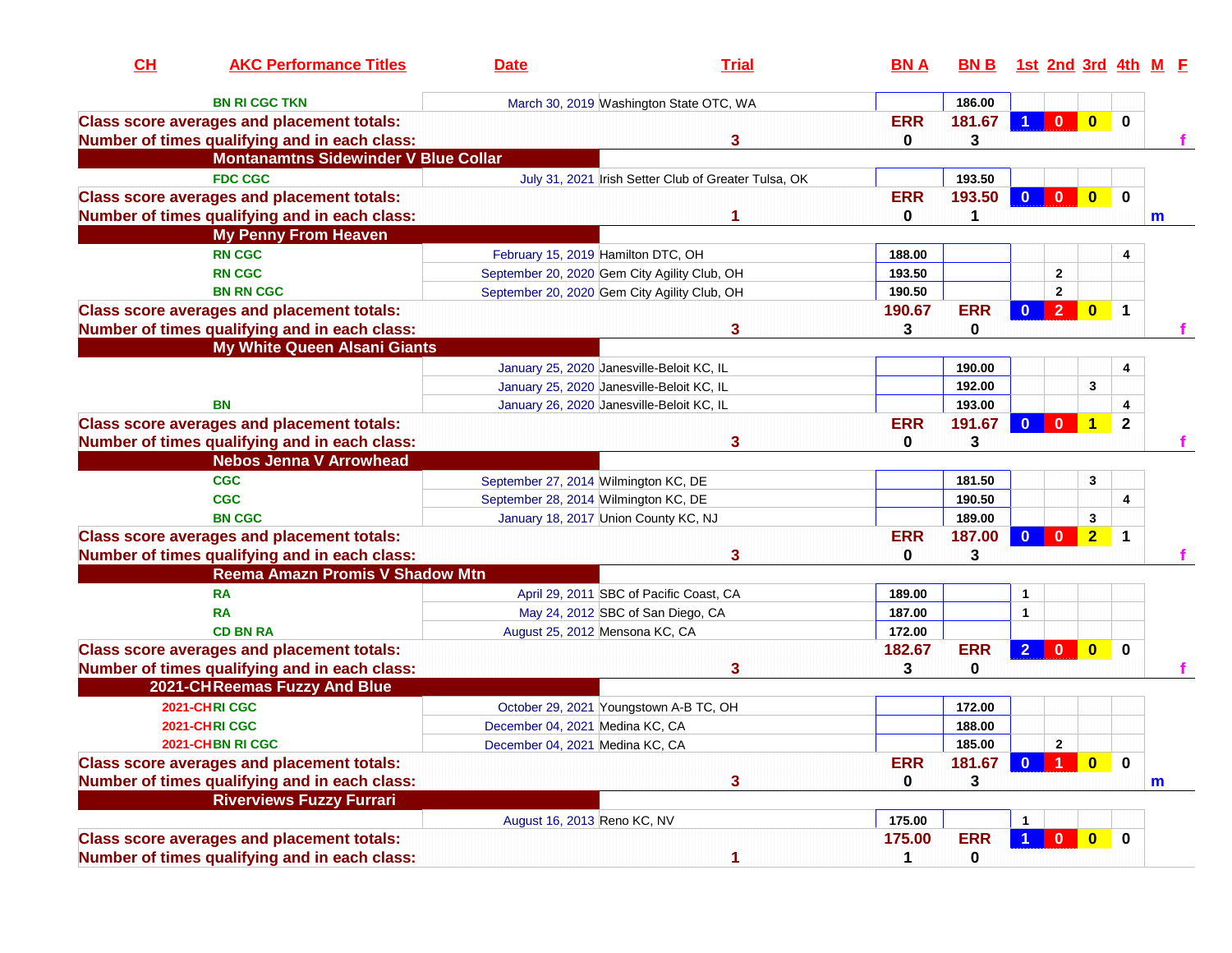| CH | <b>AKC Performance Titles</b>                     | <b>Date</b>                                  | <b>Trial</b>                                         | <b>BNA</b>  | BN B 1st 2nd 3rd 4th M F |                |                |                                                                        |                |   |
|----|---------------------------------------------------|----------------------------------------------|------------------------------------------------------|-------------|--------------------------|----------------|----------------|------------------------------------------------------------------------|----------------|---|
|    | <b>BN RI CGC TKN</b>                              |                                              | March 30, 2019 Washington State OTC, WA              |             | 186.00                   |                |                |                                                                        |                |   |
|    | <b>Class score averages and placement totals:</b> |                                              |                                                      | <b>ERR</b>  | 181.67                   |                | $\mathbf{0}$   | $\mathbf{0}$                                                           | $\bf{0}$       |   |
|    | Number of times qualifying and in each class:     |                                              | 3                                                    | 0           | 3                        |                |                |                                                                        |                |   |
|    | <b>Montanamtns Sidewinder V Blue Collar</b>       |                                              |                                                      |             |                          |                |                |                                                                        |                |   |
|    | <b>FDC CGC</b>                                    |                                              | July 31, 2021 Irish Setter Club of Greater Tulsa, OK |             | 193.50                   |                |                |                                                                        |                |   |
|    | <b>Class score averages and placement totals:</b> |                                              |                                                      | <b>ERR</b>  | 193.50                   | $\mathbf{0}$   | $\mathbf{0}$   | $\bf{0}$                                                               | $\bf{0}$       |   |
|    | Number of times qualifying and in each class:     |                                              |                                                      | 0           |                          |                |                |                                                                        |                | m |
|    | <b>My Penny From Heaven</b>                       |                                              |                                                      |             |                          |                |                |                                                                        |                |   |
|    | <b>RN CGC</b>                                     | February 15, 2019 Hamilton DTC, OH           |                                                      | 188.00      |                          |                |                |                                                                        | 4              |   |
|    | <b>RN CGC</b>                                     | September 20, 2020 Gem City Agility Club, OH |                                                      | 193.50      |                          |                | $\mathbf{2}$   |                                                                        |                |   |
|    | <b>BN RN CGC</b>                                  | September 20, 2020 Gem City Agility Club, OH |                                                      | 190.50      |                          |                | $\mathbf{2}$   |                                                                        |                |   |
|    | <b>Class score averages and placement totals:</b> |                                              |                                                      | 190.67      | <b>ERR</b>               | $\mathbf{0}$   | $\overline{2}$ | $\bf{0}$                                                               | $\mathbf 1$    |   |
|    | Number of times qualifying and in each class:     |                                              | 3                                                    | 3           | 0                        |                |                |                                                                        |                |   |
|    | <b>My White Queen Alsani Giants</b>               |                                              |                                                      |             |                          |                |                |                                                                        |                |   |
|    |                                                   | January 25, 2020 Janesville-Beloit KC, IL    |                                                      |             | 190.00                   |                |                |                                                                        | 4              |   |
|    |                                                   | January 25, 2020 Janesville-Beloit KC, IL    |                                                      |             | 192.00                   |                |                | 3                                                                      |                |   |
|    | <b>BN</b>                                         | January 26, 2020 Janesville-Beloit KC, IL    |                                                      |             | 193.00                   |                |                |                                                                        | 4              |   |
|    | <b>Class score averages and placement totals:</b> |                                              |                                                      | <b>ERR</b>  | 191.67                   | $\mathbf{0}$   | 0              | 1                                                                      | $\overline{2}$ |   |
|    | Number of times qualifying and in each class:     |                                              | 3                                                    | 0           | 3                        |                |                |                                                                        |                |   |
|    | <b>Nebos Jenna V Arrowhead</b>                    |                                              |                                                      |             |                          |                |                |                                                                        |                |   |
|    | <b>CGC</b>                                        | September 27, 2014 Wilmington KC, DE         |                                                      |             | 181.50                   |                |                | 3                                                                      |                |   |
|    | <b>CGC</b>                                        | September 28, 2014 Wilmington KC, DE         |                                                      |             | 190.50                   |                |                |                                                                        | 4              |   |
|    | <b>BN CGC</b>                                     | January 18, 2017 Union County KC, NJ         |                                                      |             | 189.00                   |                |                | 3                                                                      |                |   |
|    | <b>Class score averages and placement totals:</b> |                                              |                                                      | <b>ERR</b>  | 187.00                   | $\bf{0}$       | $\mathbf{0}$   | $\overline{2}$                                                         | 1              |   |
|    | Number of times qualifying and in each class:     |                                              | 3                                                    | 0           | 3                        |                |                |                                                                        |                |   |
|    | <b>Reema Amazn Promis V Shadow Mtn</b>            |                                              |                                                      |             |                          |                |                |                                                                        |                |   |
|    | <b>RA</b>                                         |                                              | April 29, 2011 SBC of Pacific Coast, CA              | 189.00      |                          | 1              |                |                                                                        |                |   |
|    | <b>RA</b>                                         |                                              | May 24, 2012 SBC of San Diego, CA                    | 187.00      |                          | 1              |                |                                                                        |                |   |
|    | <b>CD BN RA</b>                                   | August 25, 2012 Mensona KC, CA               |                                                      | 172.00      |                          |                |                |                                                                        |                |   |
|    | <b>Class score averages and placement totals:</b> |                                              |                                                      | 182.67      | <b>ERR</b>               | $\overline{2}$ | $\mathbf{0}$   | $\bf{0}$                                                               | $\bf{0}$       |   |
|    | Number of times qualifying and in each class:     |                                              | 3                                                    | 3           | 0                        |                |                |                                                                        |                |   |
|    | 2021-CHReemas Fuzzy And Blue                      |                                              |                                                      |             |                          |                |                |                                                                        |                |   |
|    | 2021-CHRICGC                                      |                                              | October 29, 2021 Youngstown A-B TC, OH               |             | 172.00                   |                |                |                                                                        |                |   |
|    | 2021-CHRICGC                                      | December 04, 2021 Medina KC, CA              |                                                      |             | 188.00                   |                |                |                                                                        |                |   |
|    | 2021-CHBN RI CGC                                  | December 04, 2021 Medina KC, CA              |                                                      |             | 185.00                   |                | $\overline{2}$ |                                                                        |                |   |
|    | <b>Class score averages and placement totals:</b> |                                              |                                                      | <b>ERR</b>  | 181.67                   |                |                | $\begin{array}{ c c c c c }\hline \textbf{0} & \textbf{0} \end{array}$ |                |   |
|    | Number of times qualifying and in each class:     |                                              | 3                                                    | $\mathbf 0$ | 3                        |                |                |                                                                        |                | m |
|    | <b>Riverviews Fuzzy Furrari</b>                   |                                              |                                                      |             |                          |                |                |                                                                        |                |   |
|    |                                                   | August 16, 2013 Reno KC, NV                  |                                                      | 175.00      |                          |                |                |                                                                        |                |   |
|    | <b>Class score averages and placement totals:</b> |                                              |                                                      | 175.00      | <b>ERR</b>               | $\overline{1}$ | $\mathbf{0}$   | $\bullet$                                                              | $\mathbf 0$    |   |
|    | Number of times qualifying and in each class:     |                                              | 1                                                    | $\mathbf 1$ | 0                        |                |                |                                                                        |                |   |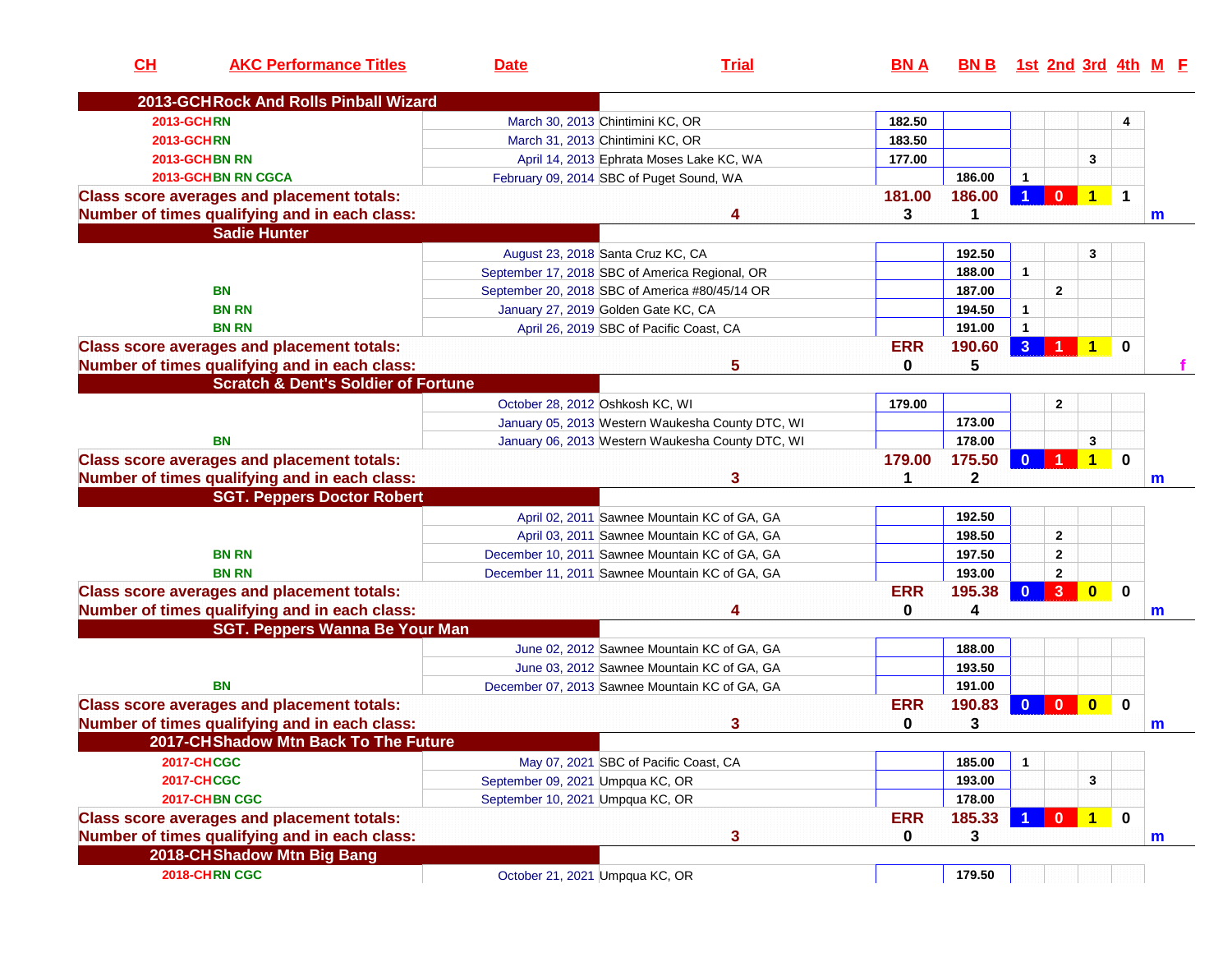| CH | <b>AKC Performance Titles</b>                     | <b>Date</b>                      | <b>Trial</b>                                     | <b>BNA</b> | BN B 1st 2nd 3rd 4th M E |              |              |              |             |              |
|----|---------------------------------------------------|----------------------------------|--------------------------------------------------|------------|--------------------------|--------------|--------------|--------------|-------------|--------------|
|    | 2013-GCHRock And Rolls Pinball Wizard             |                                  |                                                  |            |                          |              |              |              |             |              |
|    | <b>2013-GCHRN</b>                                 |                                  | March 30, 2013 Chintimini KC, OR                 | 182.50     |                          |              |              |              | 4           |              |
|    | <b>2013-GCHRN</b>                                 |                                  | March 31, 2013 Chintimini KC, OR                 | 183.50     |                          |              |              |              |             |              |
|    | 2013-GCHBN RN                                     |                                  | April 14, 2013 Ephrata Moses Lake KC, WA         | 177.00     |                          |              |              | 3            |             |              |
|    | <b>2013-GCHBN RN CGCA</b>                         |                                  | February 09, 2014 SBC of Puget Sound, WA         |            | 186.00                   | 1            |              |              |             |              |
|    | <b>Class score averages and placement totals:</b> |                                  |                                                  | 181.00     | 186.00                   | 1            | $\mathbf{0}$ | 1            | $\mathbf 1$ |              |
|    | Number of times qualifying and in each class:     |                                  |                                                  | 3          | 1                        |              |              |              |             | $\mathsf{m}$ |
|    | <b>Sadie Hunter</b>                               |                                  |                                                  |            |                          |              |              |              |             |              |
|    |                                                   |                                  | August 23, 2018 Santa Cruz KC, CA                |            | 192.50                   |              |              | 3            |             |              |
|    |                                                   |                                  | September 17, 2018 SBC of America Regional, OR   |            | 188.00                   | $\mathbf{1}$ |              |              |             |              |
|    | <b>BN</b>                                         |                                  | September 20, 2018 SBC of America #80/45/14 OR   |            | 187.00                   |              | $\mathbf{2}$ |              |             |              |
|    | <b>BN RN</b>                                      |                                  | January 27, 2019 Golden Gate KC, CA              |            | 194.50                   | 1            |              |              |             |              |
|    | <b>BN RN</b>                                      |                                  | April 26, 2019 SBC of Pacific Coast, CA          |            | 191.00                   | $\mathbf{1}$ |              |              |             |              |
|    | <b>Class score averages and placement totals:</b> |                                  |                                                  | <b>ERR</b> | 190.60                   | $\mathbf{3}$ |              |              | 0           |              |
|    | Number of times qualifying and in each class:     |                                  | 5                                                | 0          | 5                        |              |              |              |             |              |
|    | <b>Scratch &amp; Dent's Soldier of Fortune</b>    |                                  |                                                  |            |                          |              |              |              |             |              |
|    |                                                   | October 28, 2012 Oshkosh KC, WI  |                                                  | 179.00     |                          |              | $\mathbf{2}$ |              |             |              |
|    |                                                   |                                  | January 05, 2013 Western Waukesha County DTC, WI |            | 173.00                   |              |              |              |             |              |
|    | <b>BN</b>                                         |                                  | January 06, 2013 Western Waukesha County DTC, WI |            | 178.00                   |              |              | 3            |             |              |
|    | <b>Class score averages and placement totals:</b> |                                  |                                                  | 179.00     | 175.50                   | O            |              |              | $\bf{0}$    |              |
|    | Number of times qualifying and in each class:     |                                  | 3                                                |            | 2                        |              |              |              |             | $\mathsf{m}$ |
|    | <b>SGT. Peppers Doctor Robert</b>                 |                                  |                                                  |            |                          |              |              |              |             |              |
|    |                                                   |                                  | April 02, 2011 Sawnee Mountain KC of GA, GA      |            | 192.50                   |              |              |              |             |              |
|    |                                                   |                                  | April 03, 2011 Sawnee Mountain KC of GA, GA      |            | 198.50                   |              | $\mathbf{2}$ |              |             |              |
|    | <b>BN RN</b>                                      |                                  | December 10, 2011 Sawnee Mountain KC of GA, GA   |            | 197.50                   |              | $\mathbf{2}$ |              |             |              |
|    | <b>BN RN</b>                                      |                                  | December 11, 2011 Sawnee Mountain KC of GA, GA   |            | 193.00                   |              | $\mathbf{2}$ |              |             |              |
|    | <b>Class score averages and placement totals:</b> |                                  |                                                  | <b>ERR</b> | 195.38                   | $\mathbf{0}$ | 3            | $\bf{0}$     | $\bf{0}$    |              |
|    | Number of times qualifying and in each class:     |                                  |                                                  | 0          | 4                        |              |              |              |             |              |
|    | <b>SGT. Peppers Wanna Be Your Man</b>             |                                  |                                                  |            |                          |              |              |              |             | $\mathsf{m}$ |
|    |                                                   |                                  | June 02, 2012 Sawnee Mountain KC of GA, GA       |            | 188.00                   |              |              |              |             |              |
|    |                                                   |                                  | June 03, 2012 Sawnee Mountain KC of GA, GA       |            | 193.50                   |              |              |              |             |              |
|    | BN                                                |                                  |                                                  |            |                          |              |              |              |             |              |
|    |                                                   |                                  | December 07, 2013 Sawnee Mountain KC of GA, GA   | <b>ERR</b> | 191.00<br>190.83         | $\bf{0}$     | $\mathbf{0}$ | $\mathbf{0}$ | $\mathbf 0$ |              |
|    | <b>Class score averages and placement totals:</b> |                                  |                                                  | 0          |                          |              |              |              |             |              |
|    | Number of times qualifying and in each class:     |                                  | 3                                                |            | 3                        |              |              |              |             | m            |
|    | 2017-CHShadow Mtn Back To The Future              |                                  |                                                  |            |                          |              |              |              |             |              |
|    | <b>2017-CHCGC</b>                                 |                                  | May 07, 2021 SBC of Pacific Coast, CA            |            | 185.00                   | $\mathbf{1}$ |              |              |             |              |
|    | <b>2017-CHCGC</b>                                 | September 09, 2021 Umpqua KC, OR |                                                  |            | 193.00                   |              |              | 3            |             |              |
|    | 2017-CHBN CGC                                     | September 10, 2021 Umpqua KC, OR |                                                  |            | 178.00                   |              |              |              |             |              |
|    | <b>Class score averages and placement totals:</b> |                                  |                                                  | <b>ERR</b> | 185.33                   |              | $0$ 1        |              | $\mathbf 0$ |              |
|    | Number of times qualifying and in each class:     |                                  | 3                                                | 0          | 3                        |              |              |              |             | m            |
|    | 2018-CHShadow Mtn Big Bang                        |                                  |                                                  |            |                          |              |              |              |             |              |
|    | 2018-CHRN CGC                                     | October 21, 2021 Umpqua KC, OR   |                                                  |            | 179.50                   |              |              |              |             |              |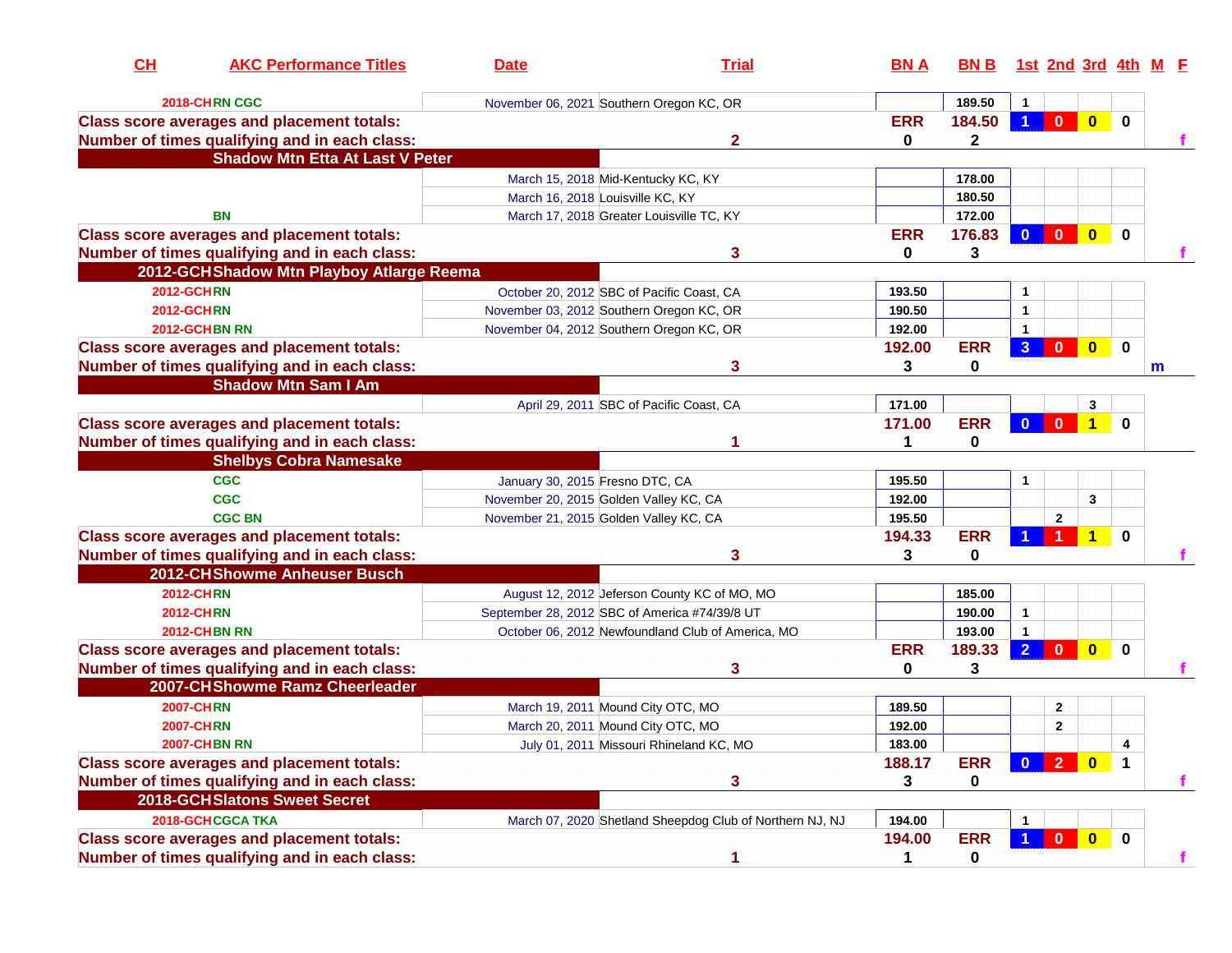| CH | <b>AKC Performance Titles</b>                     | <b>Date</b>                                   | <b>Trial</b>                                             | <b>BNA</b>   | <b>BN B</b> |                      |                |              |              | 1st 2nd 3rd 4th M F |
|----|---------------------------------------------------|-----------------------------------------------|----------------------------------------------------------|--------------|-------------|----------------------|----------------|--------------|--------------|---------------------|
|    | 2018-CHRN CGC                                     | November 06, 2021 Southern Oregon KC, OR      |                                                          |              | 189.50      | 1                    |                |              |              |                     |
|    | <b>Class score averages and placement totals:</b> |                                               |                                                          | <b>ERR</b>   | 184.50      | $\blacktriangleleft$ | $\mathbf{0}$   | $\mathbf{0}$ | $\mathbf{0}$ |                     |
|    | Number of times qualifying and in each class:     |                                               | 2                                                        | 0            | 2           |                      |                |              |              |                     |
|    | <b>Shadow Mtn Etta At Last V Peter</b>            |                                               |                                                          |              |             |                      |                |              |              |                     |
|    |                                                   | March 15, 2018 Mid-Kentucky KC, KY            |                                                          |              | 178.00      |                      |                |              |              |                     |
|    |                                                   | March 16, 2018 Louisville KC, KY              |                                                          |              | 180.50      |                      |                |              |              |                     |
|    | BN                                                |                                               | March 17, 2018 Greater Louisville TC, KY                 |              | 172.00      |                      |                |              |              |                     |
|    | <b>Class score averages and placement totals:</b> |                                               |                                                          | <b>ERR</b>   | 176.83      | $\mathbf{0}$         | $\mathbf{0}$   | $\mathbf{0}$ | 0            |                     |
|    | Number of times qualifying and in each class:     |                                               | 3                                                        | $\mathbf 0$  | 3           |                      |                |              |              |                     |
|    | 2012-GCHShadow Mtn Playboy Atlarge Reema          |                                               |                                                          |              |             |                      |                |              |              |                     |
|    | <b>2012-GCHRN</b>                                 | October 20, 2012 SBC of Pacific Coast, CA     |                                                          | 193.50       |             | 1                    |                |              |              |                     |
|    | <b>2012-GCHRN</b>                                 | November 03, 2012 Southern Oregon KC, OR      |                                                          | 190.50       |             | $\mathbf{1}$         |                |              |              |                     |
|    | 2012-GCHBN RN                                     | November 04, 2012 Southern Oregon KC, OR      |                                                          | 192.00       |             | 1                    |                |              |              |                     |
|    | <b>Class score averages and placement totals:</b> |                                               |                                                          | 192.00       | <b>ERR</b>  | 3 <sup>2</sup>       | $\bf{0}$       | $\mathbf{0}$ | $\mathbf 0$  |                     |
|    | Number of times qualifying and in each class:     |                                               | 3                                                        | 3            | 0           |                      |                |              |              | m                   |
|    | <b>Shadow Mtn Sam I Am</b>                        |                                               |                                                          |              |             |                      |                |              |              |                     |
|    |                                                   |                                               | April 29, 2011 SBC of Pacific Coast, CA                  | 171.00       |             |                      |                | 3            |              |                     |
|    | <b>Class score averages and placement totals:</b> |                                               |                                                          | 171.00       | <b>ERR</b>  | $\mathbf{0}$         | $\mathbf{0}$   | $\mathbf 1$  | $\bf{0}$     |                     |
|    | Number of times qualifying and in each class:     |                                               |                                                          |              | 0           |                      |                |              |              |                     |
|    | <b>Shelbys Cobra Namesake</b>                     |                                               |                                                          |              |             |                      |                |              |              |                     |
|    | <b>CGC</b>                                        | January 30, 2015 Fresno DTC, CA               |                                                          | 195.50       |             | $\mathbf{1}$         |                |              |              |                     |
|    | <b>CGC</b>                                        | November 20, 2015 Golden Valley KC, CA        |                                                          | 192.00       |             |                      |                | 3            |              |                     |
|    | <b>CGC BN</b>                                     | November 21, 2015 Golden Valley KC, CA        |                                                          | 195.50       |             |                      | $\overline{2}$ |              |              |                     |
|    | <b>Class score averages and placement totals:</b> |                                               |                                                          | 194.33       | <b>ERR</b>  |                      |                |              | $\bf{0}$     |                     |
|    | Number of times qualifying and in each class:     |                                               | 3                                                        | 3            | 0           |                      |                |              |              |                     |
|    | 2012-CHShowme Anheuser Busch                      |                                               |                                                          |              |             |                      |                |              |              |                     |
|    | <b>2012-CHRN</b>                                  |                                               | August 12, 2012 Jeferson County KC of MO, MO             |              | 185.00      |                      |                |              |              |                     |
|    | <b>2012-CHRN</b>                                  | September 28, 2012 SBC of America #74/39/8 UT |                                                          |              | 190.00      | $\mathbf{1}$         |                |              |              |                     |
|    | <b>2012-CHBN RN</b>                               |                                               | October 06, 2012 Newfoundland Club of America, MO        |              | 193.00      | $\mathbf{1}$         |                |              |              |                     |
|    | <b>Class score averages and placement totals:</b> |                                               |                                                          | <b>ERR</b>   | 189.33      | $\overline{2}$       | $\mathbf{0}$   | $\mathbf{0}$ | $\mathbf{0}$ |                     |
|    | Number of times qualifying and in each class:     |                                               | 3                                                        | 0            | 3           |                      |                |              |              |                     |
|    | 2007-CHShowme Ramz Cheerleader                    |                                               |                                                          |              |             |                      |                |              |              |                     |
|    | <b>2007-CHRN</b>                                  | March 19, 2011 Mound City OTC, MO             |                                                          | 189.50       |             |                      | $\mathbf{2}$   |              |              |                     |
|    | <b>2007-CHRN</b>                                  | March 20, 2011 Mound City OTC, MO             |                                                          | 192.00       |             |                      | $\mathbf{2}$   |              |              |                     |
|    | <b>2007-CHBN RN</b>                               |                                               | July 01, 2011 Missouri Rhineland KC, MO                  | 183.00       |             |                      |                |              |              |                     |
|    | <b>Class score averages and placement totals:</b> |                                               |                                                          | 188.17       | <b>ERR</b>  |                      | 0 2 0          |              |              |                     |
|    | Number of times qualifying and in each class:     |                                               | 3                                                        | $\mathbf{3}$ | 0           |                      |                |              |              |                     |
|    | 2018-GCHSlatons Sweet Secret                      |                                               |                                                          |              |             |                      |                |              |              |                     |
|    | 2018-GCHCGCA TKA                                  |                                               | March 07, 2020 Shetland Sheepdog Club of Northern NJ, NJ | 194.00       |             |                      |                |              |              |                     |
|    | <b>Class score averages and placement totals:</b> |                                               |                                                          | 194.00       | <b>ERR</b>  | $\blacktriangleleft$ | $\mathbf{0}$   | $\bullet$    | $\mathbf 0$  |                     |
|    | Number of times qualifying and in each class:     |                                               | 1                                                        | 1            | 0           |                      |                |              |              |                     |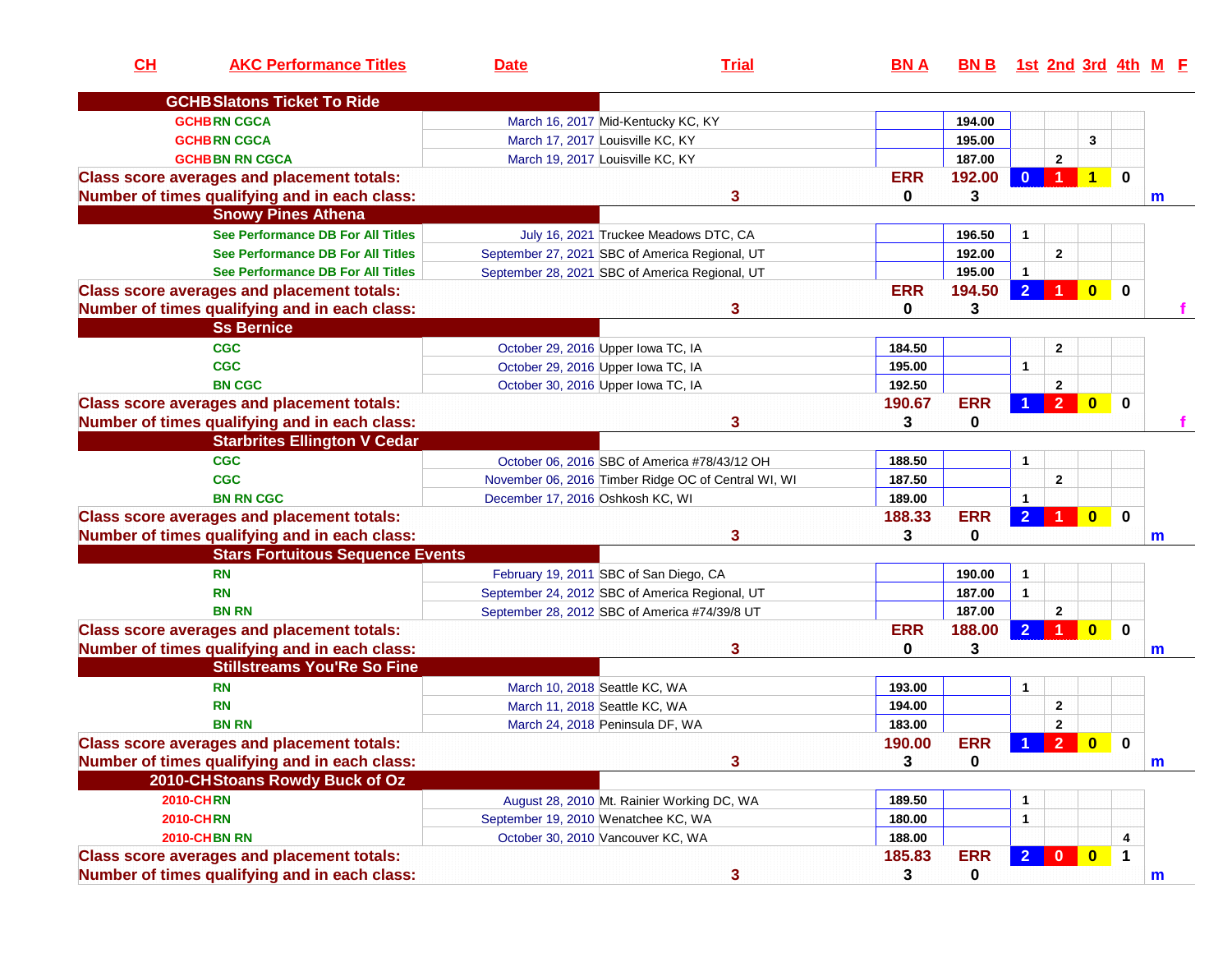| CH | <b>AKC Performance Titles</b>                                                       | <b>Date</b>                                   | <b>Trial</b>                                        | <b>BNA</b> | BN B 1st 2nd 3rd 4th M E |                |                         |              |              |   |
|----|-------------------------------------------------------------------------------------|-----------------------------------------------|-----------------------------------------------------|------------|--------------------------|----------------|-------------------------|--------------|--------------|---|
|    | <b>GCHB Slatons Ticket To Ride</b>                                                  |                                               |                                                     |            |                          |                |                         |              |              |   |
|    | <b>GCHBRN CGCA</b>                                                                  | March 16, 2017 Mid-Kentucky KC, KY            |                                                     |            | 194.00                   |                |                         |              |              |   |
|    | <b>GCHBRN CGCA</b>                                                                  | March 17, 2017 Louisville KC, KY              |                                                     |            | 195.00                   |                |                         | 3            |              |   |
|    | <b>GCHBBN RN CGCA</b>                                                               | March 19, 2017 Louisville KC, KY              |                                                     |            | 187.00                   |                | $\overline{2}$          |              |              |   |
|    | <b>Class score averages and placement totals:</b>                                   |                                               |                                                     | <b>ERR</b> | 192.00                   | $\bf{0}$       |                         |              | $\mathbf 0$  |   |
|    | Number of times qualifying and in each class:                                       |                                               | 3                                                   | 0          | 3                        |                |                         |              |              | m |
|    | <b>Snowy Pines Athena</b>                                                           |                                               |                                                     |            |                          |                |                         |              |              |   |
|    | See Performance DB For All Titles                                                   |                                               | July 16, 2021 Truckee Meadows DTC, CA               |            | 196.50                   | $\mathbf{1}$   |                         |              |              |   |
|    | <b>See Performance DB For All Titles</b>                                            |                                               | September 27, 2021 SBC of America Regional, UT      |            | 192.00                   |                | $\mathbf{2}$            |              |              |   |
|    | See Performance DB For All Titles                                                   |                                               | September 28, 2021 SBC of America Regional, UT      |            | 195.00                   | $\overline{1}$ |                         |              |              |   |
|    | <b>Class score averages and placement totals:</b>                                   |                                               |                                                     | <b>ERR</b> | 194.50                   | $\overline{2}$ |                         | $\mathbf{0}$ | $\mathbf 0$  |   |
|    | Number of times qualifying and in each class:                                       |                                               | 3                                                   | 0          | 3                        |                |                         |              |              |   |
|    | <b>Ss Bernice</b>                                                                   |                                               |                                                     |            |                          |                |                         |              |              |   |
|    | <b>CGC</b>                                                                          | October 29, 2016 Upper Iowa TC, IA            |                                                     | 184.50     |                          |                | $\mathbf{2}$            |              |              |   |
|    | <b>CGC</b>                                                                          | October 29, 2016 Upper Iowa TC, IA            |                                                     | 195.00     |                          | $\mathbf{1}$   |                         |              |              |   |
|    | <b>BN CGC</b>                                                                       | October 30, 2016 Upper Iowa TC, IA            |                                                     | 192.50     |                          |                | $\mathbf{2}$            |              |              |   |
|    | <b>Class score averages and placement totals:</b>                                   |                                               |                                                     | 190.67     | <b>ERR</b>               |                | $\overline{2}$          | $\mathbf{0}$ | $\mathbf{0}$ |   |
|    | Number of times qualifying and in each class:                                       |                                               | 3                                                   | 3          | 0                        |                |                         |              |              |   |
|    | <b>Starbrites Ellington V Cedar</b>                                                 |                                               |                                                     |            |                          |                |                         |              |              |   |
|    | <b>CGC</b>                                                                          |                                               | October 06, 2016 SBC of America #78/43/12 OH        | 188.50     |                          | $\mathbf{1}$   |                         |              |              |   |
|    | <b>CGC</b>                                                                          |                                               | November 06, 2016 Timber Ridge OC of Central WI, WI | 187.50     |                          |                | $\mathbf{2}$            |              |              |   |
|    | <b>BN RN CGC</b>                                                                    | December 17, 2016 Oshkosh KC, WI              |                                                     | 189.00     |                          | $\mathbf{1}$   |                         |              |              |   |
|    | <b>Class score averages and placement totals:</b>                                   |                                               |                                                     | 188.33     | <b>ERR</b>               | $\overline{2}$ |                         | $\mathbf{0}$ | $\mathbf 0$  |   |
|    | Number of times qualifying and in each class:                                       |                                               | 3                                                   | 3          | 0                        |                |                         |              |              |   |
|    | <b>Stars Fortuitous Sequence Events</b>                                             |                                               |                                                     |            |                          |                |                         |              |              | m |
|    |                                                                                     |                                               |                                                     |            |                          |                |                         |              |              |   |
|    | <b>RN</b>                                                                           | February 19, 2011 SBC of San Diego, CA        |                                                     |            | 190.00                   | 1              |                         |              |              |   |
|    | <b>RN</b>                                                                           |                                               | September 24, 2012 SBC of America Regional, UT      |            | 187.00                   | $\mathbf{1}$   |                         |              |              |   |
|    | <b>BN RN</b>                                                                        | September 28, 2012 SBC of America #74/39/8 UT |                                                     | <b>ERR</b> | 187.00                   |                | $\overline{2}$          |              |              |   |
|    | <b>Class score averages and placement totals:</b>                                   |                                               |                                                     | 0          | 188.00                   | $\overline{2}$ |                         | $\mathbf{0}$ | $\mathbf 0$  |   |
|    | Number of times qualifying and in each class:<br><b>Stillstreams You'Re So Fine</b> |                                               | 3                                                   |            | 3                        |                |                         |              |              | m |
|    |                                                                                     |                                               |                                                     |            |                          |                |                         |              |              |   |
|    | <b>RN</b>                                                                           | March 10, 2018 Seattle KC, WA                 |                                                     | 193.00     |                          | $\mathbf{1}$   |                         |              |              |   |
|    | <b>RN</b>                                                                           | March 11, 2018 Seattle KC, WA                 |                                                     | 194.00     |                          |                | $\mathbf{2}$            |              |              |   |
|    | <b>BN RN</b>                                                                        | March 24, 2018 Peninsula DF, WA               |                                                     | 183.00     |                          |                | $\overline{2}$          |              |              |   |
|    | <b>Class score averages and placement totals:</b>                                   |                                               |                                                     | 190.00     | <b>ERR</b>               |                | 1 2 0                   |              | $\mathbf 0$  |   |
|    | Number of times qualifying and in each class:                                       |                                               | 3                                                   | 3          | 0                        |                |                         |              |              | m |
|    | 2010-CHStoans Rowdy Buck of Oz                                                      |                                               |                                                     |            |                          |                |                         |              |              |   |
|    | <b>2010-CHRN</b>                                                                    |                                               | August 28, 2010 Mt. Rainier Working DC, WA          | 189.50     |                          | 1              |                         |              |              |   |
|    | <b>2010-CHRN</b>                                                                    | September 19, 2010 Wenatchee KC, WA           |                                                     | 180.00     |                          | 1              |                         |              |              |   |
|    | <b>2010-CHBN RN</b>                                                                 | October 30, 2010 Vancouver KC, WA             |                                                     | 188.00     |                          |                |                         |              | 4            |   |
|    | <b>Class score averages and placement totals:</b>                                   |                                               |                                                     | 185.83     | <b>ERR</b>               | 2 <sup>1</sup> | $\overline{\mathbf{0}}$ | $\bullet$    | $\mathbf 1$  |   |
|    | Number of times qualifying and in each class:                                       |                                               | $\mathbf{3}$                                        | 3          | 0                        |                |                         |              |              | m |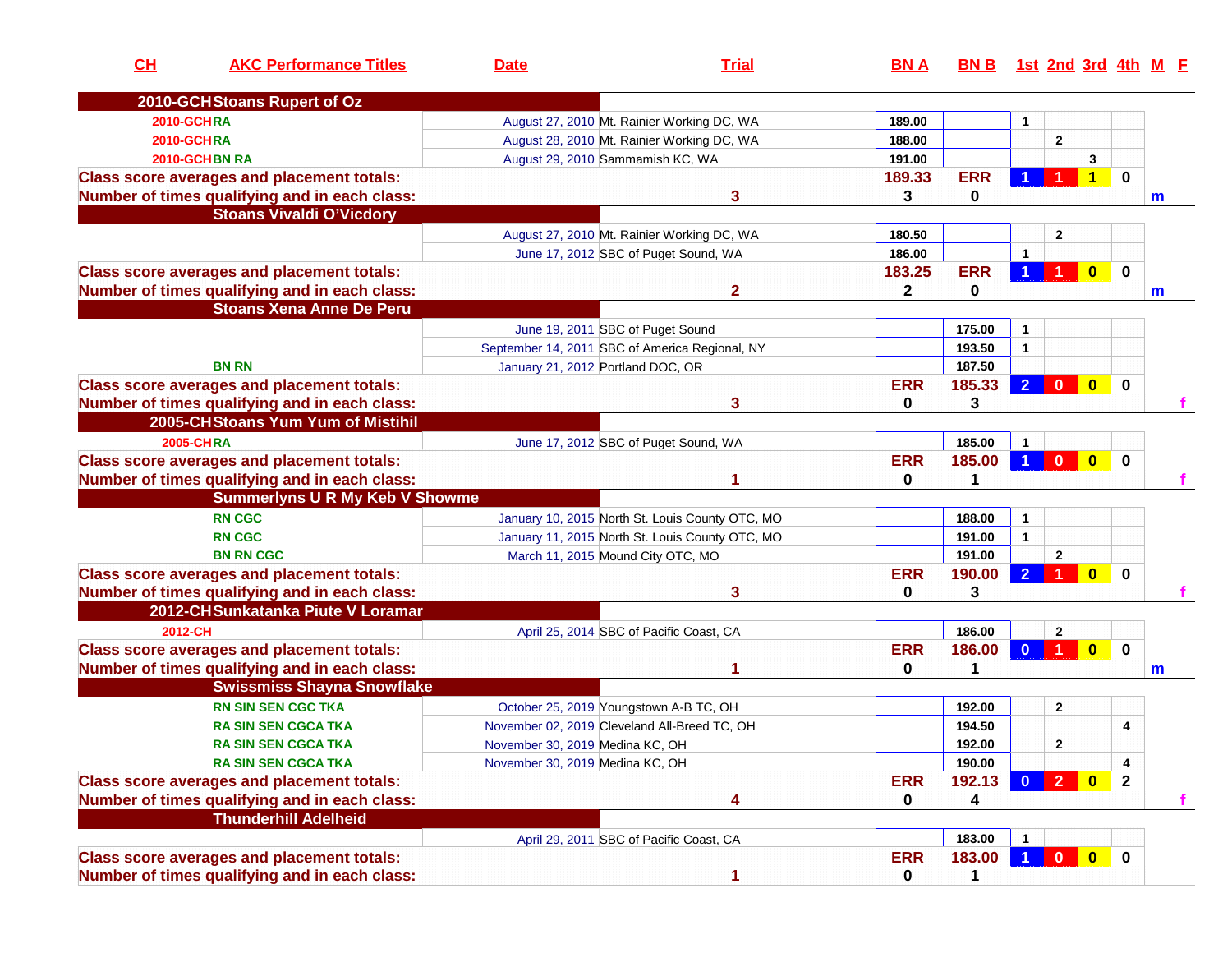| 2010-GCHStoans Rupert of Oz<br><b>2010-GCHRA</b><br>189.00<br>August 27, 2010 Mt. Rainier Working DC, WA<br>1<br>$\overline{2}$<br><b>2010-GCHRA</b><br>188.00<br>August 28, 2010 Mt. Rainier Working DC, WA<br>2010-GCHBN RA<br>191.00<br>3<br>August 29, 2010 Sammamish KC, WA<br><b>ERR</b><br>0<br><b>Class score averages and placement totals:</b><br>189.33<br>1<br>Number of times qualifying and in each class:<br>3<br>3<br>0<br><b>Stoans Vivaldi O'Vicdory</b><br>180.50<br>August 27, 2010 Mt. Rainier Working DC, WA<br>$\overline{2}$<br>186.00<br>$\mathbf{1}$<br>June 17, 2012 SBC of Puget Sound, WA<br><b>Class score averages and placement totals:</b><br>183.25<br><b>ERR</b><br>$\mathbf 0$<br>$\bf{0}$<br>Number of times qualifying and in each class:<br>$\mathbf{2}$<br>$\mathbf{2}$<br>0<br><b>Stoans Xena Anne De Peru</b><br>June 19, 2011 SBC of Puget Sound<br>175.00<br>$\mathbf{1}$<br>September 14, 2011 SBC of America Regional, NY<br>193.50<br>$\mathbf{1}$<br>January 21, 2012 Portland DOC, OR<br><b>BN RN</b><br>187.50<br><b>Class score averages and placement totals:</b><br><b>ERR</b><br>185.33<br>$\overline{2}$<br>$\bf{0}$<br>$\mathbf 0$<br>$\bf{0}$<br>Number of times qualifying and in each class:<br>0<br>3<br>3<br>2005-CHStoans Yum Yum of Mistihil<br><b>2005-CHRA</b><br>June 17, 2012 SBC of Puget Sound, WA<br>185.00<br>$\mathbf{1}$<br><b>Class score averages and placement totals:</b><br><b>ERR</b><br>185.00<br>$\blacktriangleleft$<br>$\mathbf{0}$<br>$\mathbf{0}$<br>$\bf{0}$<br>Number of times qualifying and in each class:<br>0<br>1<br><b>Summerlyns U R My Keb V Showme</b><br><b>RN CGC</b><br>January 10, 2015 North St. Louis County OTC, MO<br>188.00<br>$\mathbf{1}$<br><b>RN CGC</b><br>January 11, 2015 North St. Louis County OTC, MO<br>$\mathbf{1}$<br>191.00<br>$\overline{2}$<br><b>BN RN CGC</b><br>March 11, 2015 Mound City OTC, MO<br>191.00<br><b>Class score averages and placement totals:</b><br><b>ERR</b><br>$\overline{2}$<br>$\bf{0}$<br>190.00<br>$\bf{0}$<br>Number of times qualifying and in each class:<br>3<br>3<br>0<br>2012-CHSunkatanka Piute V Loramar<br>2012-CH<br>186.00<br>$\mathbf{2}$<br>April 25, 2014 SBC of Pacific Coast, CA<br><b>Class score averages and placement totals:</b><br><b>ERR</b><br>186.00<br>$\mathbf 0$<br>$\mathbf{0}$<br>$\mathbf{0}$<br>Number of times qualifying and in each class:<br>0<br>1<br><b>Swissmiss Shayna Snowflake</b><br><b>RN SIN SEN CGC TKA</b><br>October 25, 2019 Youngstown A-B TC, OH<br>192.00<br>$\overline{2}$<br>November 02, 2019 Cleveland All-Breed TC, OH<br><b>RA SIN SEN CGCA TKA</b><br>194.50<br>4<br>192.00<br>$\mathbf{2}$<br>November 30, 2019 Medina KC, OH<br><b>RA SIN SEN CGCA TKA</b><br>November 30, 2019 Medina KC, OH<br><b>RA SIN SEN CGCA TKA</b><br>190.00<br>4<br><b>Class score averages and placement totals:</b><br><b>ERR</b><br>192.13<br>$\mathbf{0}$<br>$\mathbf{2}$<br>$\mathbf{0}$<br>2 <sup>2</sup><br>Number of times qualifying and in each class:<br>0<br>4<br>$\overline{\mathbf{4}}$<br><b>Thunderhill Adelheid</b> | CH | <b>AKC Performance Titles</b> | <b>Date</b> | <b>Trial</b> | <b>BNA</b> | <b>BNB</b> |  |  | <u>1st 2nd 3rd 4th M F</u> |
|--------------------------------------------------------------------------------------------------------------------------------------------------------------------------------------------------------------------------------------------------------------------------------------------------------------------------------------------------------------------------------------------------------------------------------------------------------------------------------------------------------------------------------------------------------------------------------------------------------------------------------------------------------------------------------------------------------------------------------------------------------------------------------------------------------------------------------------------------------------------------------------------------------------------------------------------------------------------------------------------------------------------------------------------------------------------------------------------------------------------------------------------------------------------------------------------------------------------------------------------------------------------------------------------------------------------------------------------------------------------------------------------------------------------------------------------------------------------------------------------------------------------------------------------------------------------------------------------------------------------------------------------------------------------------------------------------------------------------------------------------------------------------------------------------------------------------------------------------------------------------------------------------------------------------------------------------------------------------------------------------------------------------------------------------------------------------------------------------------------------------------------------------------------------------------------------------------------------------------------------------------------------------------------------------------------------------------------------------------------------------------------------------------------------------------------------------------------------------------------------------------------------------------------------------------------------------------------------------------------------------------------------------------------------------------------------------------------------------------------------------------------------------------------------------------------------------------------------------------------------------------------------------------------------------------------------------------------------------------------------------------------------------------------------------------------------------------------------------------------------------------|----|-------------------------------|-------------|--------------|------------|------------|--|--|----------------------------|
|                                                                                                                                                                                                                                                                                                                                                                                                                                                                                                                                                                                                                                                                                                                                                                                                                                                                                                                                                                                                                                                                                                                                                                                                                                                                                                                                                                                                                                                                                                                                                                                                                                                                                                                                                                                                                                                                                                                                                                                                                                                                                                                                                                                                                                                                                                                                                                                                                                                                                                                                                                                                                                                                                                                                                                                                                                                                                                                                                                                                                                                                                                                                |    |                               |             |              |            |            |  |  |                            |
|                                                                                                                                                                                                                                                                                                                                                                                                                                                                                                                                                                                                                                                                                                                                                                                                                                                                                                                                                                                                                                                                                                                                                                                                                                                                                                                                                                                                                                                                                                                                                                                                                                                                                                                                                                                                                                                                                                                                                                                                                                                                                                                                                                                                                                                                                                                                                                                                                                                                                                                                                                                                                                                                                                                                                                                                                                                                                                                                                                                                                                                                                                                                |    |                               |             |              |            |            |  |  |                            |
|                                                                                                                                                                                                                                                                                                                                                                                                                                                                                                                                                                                                                                                                                                                                                                                                                                                                                                                                                                                                                                                                                                                                                                                                                                                                                                                                                                                                                                                                                                                                                                                                                                                                                                                                                                                                                                                                                                                                                                                                                                                                                                                                                                                                                                                                                                                                                                                                                                                                                                                                                                                                                                                                                                                                                                                                                                                                                                                                                                                                                                                                                                                                |    |                               |             |              |            |            |  |  |                            |
|                                                                                                                                                                                                                                                                                                                                                                                                                                                                                                                                                                                                                                                                                                                                                                                                                                                                                                                                                                                                                                                                                                                                                                                                                                                                                                                                                                                                                                                                                                                                                                                                                                                                                                                                                                                                                                                                                                                                                                                                                                                                                                                                                                                                                                                                                                                                                                                                                                                                                                                                                                                                                                                                                                                                                                                                                                                                                                                                                                                                                                                                                                                                |    |                               |             |              |            |            |  |  |                            |
|                                                                                                                                                                                                                                                                                                                                                                                                                                                                                                                                                                                                                                                                                                                                                                                                                                                                                                                                                                                                                                                                                                                                                                                                                                                                                                                                                                                                                                                                                                                                                                                                                                                                                                                                                                                                                                                                                                                                                                                                                                                                                                                                                                                                                                                                                                                                                                                                                                                                                                                                                                                                                                                                                                                                                                                                                                                                                                                                                                                                                                                                                                                                |    |                               |             |              |            |            |  |  |                            |
|                                                                                                                                                                                                                                                                                                                                                                                                                                                                                                                                                                                                                                                                                                                                                                                                                                                                                                                                                                                                                                                                                                                                                                                                                                                                                                                                                                                                                                                                                                                                                                                                                                                                                                                                                                                                                                                                                                                                                                                                                                                                                                                                                                                                                                                                                                                                                                                                                                                                                                                                                                                                                                                                                                                                                                                                                                                                                                                                                                                                                                                                                                                                |    |                               |             |              |            |            |  |  | $\mathsf{m}$               |
|                                                                                                                                                                                                                                                                                                                                                                                                                                                                                                                                                                                                                                                                                                                                                                                                                                                                                                                                                                                                                                                                                                                                                                                                                                                                                                                                                                                                                                                                                                                                                                                                                                                                                                                                                                                                                                                                                                                                                                                                                                                                                                                                                                                                                                                                                                                                                                                                                                                                                                                                                                                                                                                                                                                                                                                                                                                                                                                                                                                                                                                                                                                                |    |                               |             |              |            |            |  |  |                            |
|                                                                                                                                                                                                                                                                                                                                                                                                                                                                                                                                                                                                                                                                                                                                                                                                                                                                                                                                                                                                                                                                                                                                                                                                                                                                                                                                                                                                                                                                                                                                                                                                                                                                                                                                                                                                                                                                                                                                                                                                                                                                                                                                                                                                                                                                                                                                                                                                                                                                                                                                                                                                                                                                                                                                                                                                                                                                                                                                                                                                                                                                                                                                |    |                               |             |              |            |            |  |  |                            |
|                                                                                                                                                                                                                                                                                                                                                                                                                                                                                                                                                                                                                                                                                                                                                                                                                                                                                                                                                                                                                                                                                                                                                                                                                                                                                                                                                                                                                                                                                                                                                                                                                                                                                                                                                                                                                                                                                                                                                                                                                                                                                                                                                                                                                                                                                                                                                                                                                                                                                                                                                                                                                                                                                                                                                                                                                                                                                                                                                                                                                                                                                                                                |    |                               |             |              |            |            |  |  |                            |
|                                                                                                                                                                                                                                                                                                                                                                                                                                                                                                                                                                                                                                                                                                                                                                                                                                                                                                                                                                                                                                                                                                                                                                                                                                                                                                                                                                                                                                                                                                                                                                                                                                                                                                                                                                                                                                                                                                                                                                                                                                                                                                                                                                                                                                                                                                                                                                                                                                                                                                                                                                                                                                                                                                                                                                                                                                                                                                                                                                                                                                                                                                                                |    |                               |             |              |            |            |  |  |                            |
|                                                                                                                                                                                                                                                                                                                                                                                                                                                                                                                                                                                                                                                                                                                                                                                                                                                                                                                                                                                                                                                                                                                                                                                                                                                                                                                                                                                                                                                                                                                                                                                                                                                                                                                                                                                                                                                                                                                                                                                                                                                                                                                                                                                                                                                                                                                                                                                                                                                                                                                                                                                                                                                                                                                                                                                                                                                                                                                                                                                                                                                                                                                                |    |                               |             |              |            |            |  |  | m                          |
|                                                                                                                                                                                                                                                                                                                                                                                                                                                                                                                                                                                                                                                                                                                                                                                                                                                                                                                                                                                                                                                                                                                                                                                                                                                                                                                                                                                                                                                                                                                                                                                                                                                                                                                                                                                                                                                                                                                                                                                                                                                                                                                                                                                                                                                                                                                                                                                                                                                                                                                                                                                                                                                                                                                                                                                                                                                                                                                                                                                                                                                                                                                                |    |                               |             |              |            |            |  |  |                            |
|                                                                                                                                                                                                                                                                                                                                                                                                                                                                                                                                                                                                                                                                                                                                                                                                                                                                                                                                                                                                                                                                                                                                                                                                                                                                                                                                                                                                                                                                                                                                                                                                                                                                                                                                                                                                                                                                                                                                                                                                                                                                                                                                                                                                                                                                                                                                                                                                                                                                                                                                                                                                                                                                                                                                                                                                                                                                                                                                                                                                                                                                                                                                |    |                               |             |              |            |            |  |  |                            |
|                                                                                                                                                                                                                                                                                                                                                                                                                                                                                                                                                                                                                                                                                                                                                                                                                                                                                                                                                                                                                                                                                                                                                                                                                                                                                                                                                                                                                                                                                                                                                                                                                                                                                                                                                                                                                                                                                                                                                                                                                                                                                                                                                                                                                                                                                                                                                                                                                                                                                                                                                                                                                                                                                                                                                                                                                                                                                                                                                                                                                                                                                                                                |    |                               |             |              |            |            |  |  |                            |
|                                                                                                                                                                                                                                                                                                                                                                                                                                                                                                                                                                                                                                                                                                                                                                                                                                                                                                                                                                                                                                                                                                                                                                                                                                                                                                                                                                                                                                                                                                                                                                                                                                                                                                                                                                                                                                                                                                                                                                                                                                                                                                                                                                                                                                                                                                                                                                                                                                                                                                                                                                                                                                                                                                                                                                                                                                                                                                                                                                                                                                                                                                                                |    |                               |             |              |            |            |  |  |                            |
|                                                                                                                                                                                                                                                                                                                                                                                                                                                                                                                                                                                                                                                                                                                                                                                                                                                                                                                                                                                                                                                                                                                                                                                                                                                                                                                                                                                                                                                                                                                                                                                                                                                                                                                                                                                                                                                                                                                                                                                                                                                                                                                                                                                                                                                                                                                                                                                                                                                                                                                                                                                                                                                                                                                                                                                                                                                                                                                                                                                                                                                                                                                                |    |                               |             |              |            |            |  |  |                            |
|                                                                                                                                                                                                                                                                                                                                                                                                                                                                                                                                                                                                                                                                                                                                                                                                                                                                                                                                                                                                                                                                                                                                                                                                                                                                                                                                                                                                                                                                                                                                                                                                                                                                                                                                                                                                                                                                                                                                                                                                                                                                                                                                                                                                                                                                                                                                                                                                                                                                                                                                                                                                                                                                                                                                                                                                                                                                                                                                                                                                                                                                                                                                |    |                               |             |              |            |            |  |  |                            |
|                                                                                                                                                                                                                                                                                                                                                                                                                                                                                                                                                                                                                                                                                                                                                                                                                                                                                                                                                                                                                                                                                                                                                                                                                                                                                                                                                                                                                                                                                                                                                                                                                                                                                                                                                                                                                                                                                                                                                                                                                                                                                                                                                                                                                                                                                                                                                                                                                                                                                                                                                                                                                                                                                                                                                                                                                                                                                                                                                                                                                                                                                                                                |    |                               |             |              |            |            |  |  |                            |
|                                                                                                                                                                                                                                                                                                                                                                                                                                                                                                                                                                                                                                                                                                                                                                                                                                                                                                                                                                                                                                                                                                                                                                                                                                                                                                                                                                                                                                                                                                                                                                                                                                                                                                                                                                                                                                                                                                                                                                                                                                                                                                                                                                                                                                                                                                                                                                                                                                                                                                                                                                                                                                                                                                                                                                                                                                                                                                                                                                                                                                                                                                                                |    |                               |             |              |            |            |  |  |                            |
|                                                                                                                                                                                                                                                                                                                                                                                                                                                                                                                                                                                                                                                                                                                                                                                                                                                                                                                                                                                                                                                                                                                                                                                                                                                                                                                                                                                                                                                                                                                                                                                                                                                                                                                                                                                                                                                                                                                                                                                                                                                                                                                                                                                                                                                                                                                                                                                                                                                                                                                                                                                                                                                                                                                                                                                                                                                                                                                                                                                                                                                                                                                                |    |                               |             |              |            |            |  |  |                            |
|                                                                                                                                                                                                                                                                                                                                                                                                                                                                                                                                                                                                                                                                                                                                                                                                                                                                                                                                                                                                                                                                                                                                                                                                                                                                                                                                                                                                                                                                                                                                                                                                                                                                                                                                                                                                                                                                                                                                                                                                                                                                                                                                                                                                                                                                                                                                                                                                                                                                                                                                                                                                                                                                                                                                                                                                                                                                                                                                                                                                                                                                                                                                |    |                               |             |              |            |            |  |  |                            |
|                                                                                                                                                                                                                                                                                                                                                                                                                                                                                                                                                                                                                                                                                                                                                                                                                                                                                                                                                                                                                                                                                                                                                                                                                                                                                                                                                                                                                                                                                                                                                                                                                                                                                                                                                                                                                                                                                                                                                                                                                                                                                                                                                                                                                                                                                                                                                                                                                                                                                                                                                                                                                                                                                                                                                                                                                                                                                                                                                                                                                                                                                                                                |    |                               |             |              |            |            |  |  |                            |
|                                                                                                                                                                                                                                                                                                                                                                                                                                                                                                                                                                                                                                                                                                                                                                                                                                                                                                                                                                                                                                                                                                                                                                                                                                                                                                                                                                                                                                                                                                                                                                                                                                                                                                                                                                                                                                                                                                                                                                                                                                                                                                                                                                                                                                                                                                                                                                                                                                                                                                                                                                                                                                                                                                                                                                                                                                                                                                                                                                                                                                                                                                                                |    |                               |             |              |            |            |  |  |                            |
|                                                                                                                                                                                                                                                                                                                                                                                                                                                                                                                                                                                                                                                                                                                                                                                                                                                                                                                                                                                                                                                                                                                                                                                                                                                                                                                                                                                                                                                                                                                                                                                                                                                                                                                                                                                                                                                                                                                                                                                                                                                                                                                                                                                                                                                                                                                                                                                                                                                                                                                                                                                                                                                                                                                                                                                                                                                                                                                                                                                                                                                                                                                                |    |                               |             |              |            |            |  |  |                            |
|                                                                                                                                                                                                                                                                                                                                                                                                                                                                                                                                                                                                                                                                                                                                                                                                                                                                                                                                                                                                                                                                                                                                                                                                                                                                                                                                                                                                                                                                                                                                                                                                                                                                                                                                                                                                                                                                                                                                                                                                                                                                                                                                                                                                                                                                                                                                                                                                                                                                                                                                                                                                                                                                                                                                                                                                                                                                                                                                                                                                                                                                                                                                |    |                               |             |              |            |            |  |  |                            |
|                                                                                                                                                                                                                                                                                                                                                                                                                                                                                                                                                                                                                                                                                                                                                                                                                                                                                                                                                                                                                                                                                                                                                                                                                                                                                                                                                                                                                                                                                                                                                                                                                                                                                                                                                                                                                                                                                                                                                                                                                                                                                                                                                                                                                                                                                                                                                                                                                                                                                                                                                                                                                                                                                                                                                                                                                                                                                                                                                                                                                                                                                                                                |    |                               |             |              |            |            |  |  |                            |
|                                                                                                                                                                                                                                                                                                                                                                                                                                                                                                                                                                                                                                                                                                                                                                                                                                                                                                                                                                                                                                                                                                                                                                                                                                                                                                                                                                                                                                                                                                                                                                                                                                                                                                                                                                                                                                                                                                                                                                                                                                                                                                                                                                                                                                                                                                                                                                                                                                                                                                                                                                                                                                                                                                                                                                                                                                                                                                                                                                                                                                                                                                                                |    |                               |             |              |            |            |  |  |                            |
|                                                                                                                                                                                                                                                                                                                                                                                                                                                                                                                                                                                                                                                                                                                                                                                                                                                                                                                                                                                                                                                                                                                                                                                                                                                                                                                                                                                                                                                                                                                                                                                                                                                                                                                                                                                                                                                                                                                                                                                                                                                                                                                                                                                                                                                                                                                                                                                                                                                                                                                                                                                                                                                                                                                                                                                                                                                                                                                                                                                                                                                                                                                                |    |                               |             |              |            |            |  |  |                            |
|                                                                                                                                                                                                                                                                                                                                                                                                                                                                                                                                                                                                                                                                                                                                                                                                                                                                                                                                                                                                                                                                                                                                                                                                                                                                                                                                                                                                                                                                                                                                                                                                                                                                                                                                                                                                                                                                                                                                                                                                                                                                                                                                                                                                                                                                                                                                                                                                                                                                                                                                                                                                                                                                                                                                                                                                                                                                                                                                                                                                                                                                                                                                |    |                               |             |              |            |            |  |  |                            |
|                                                                                                                                                                                                                                                                                                                                                                                                                                                                                                                                                                                                                                                                                                                                                                                                                                                                                                                                                                                                                                                                                                                                                                                                                                                                                                                                                                                                                                                                                                                                                                                                                                                                                                                                                                                                                                                                                                                                                                                                                                                                                                                                                                                                                                                                                                                                                                                                                                                                                                                                                                                                                                                                                                                                                                                                                                                                                                                                                                                                                                                                                                                                |    |                               |             |              |            |            |  |  |                            |
|                                                                                                                                                                                                                                                                                                                                                                                                                                                                                                                                                                                                                                                                                                                                                                                                                                                                                                                                                                                                                                                                                                                                                                                                                                                                                                                                                                                                                                                                                                                                                                                                                                                                                                                                                                                                                                                                                                                                                                                                                                                                                                                                                                                                                                                                                                                                                                                                                                                                                                                                                                                                                                                                                                                                                                                                                                                                                                                                                                                                                                                                                                                                |    |                               |             |              |            |            |  |  | $\mathsf{m}$               |
|                                                                                                                                                                                                                                                                                                                                                                                                                                                                                                                                                                                                                                                                                                                                                                                                                                                                                                                                                                                                                                                                                                                                                                                                                                                                                                                                                                                                                                                                                                                                                                                                                                                                                                                                                                                                                                                                                                                                                                                                                                                                                                                                                                                                                                                                                                                                                                                                                                                                                                                                                                                                                                                                                                                                                                                                                                                                                                                                                                                                                                                                                                                                |    |                               |             |              |            |            |  |  |                            |
|                                                                                                                                                                                                                                                                                                                                                                                                                                                                                                                                                                                                                                                                                                                                                                                                                                                                                                                                                                                                                                                                                                                                                                                                                                                                                                                                                                                                                                                                                                                                                                                                                                                                                                                                                                                                                                                                                                                                                                                                                                                                                                                                                                                                                                                                                                                                                                                                                                                                                                                                                                                                                                                                                                                                                                                                                                                                                                                                                                                                                                                                                                                                |    |                               |             |              |            |            |  |  |                            |
|                                                                                                                                                                                                                                                                                                                                                                                                                                                                                                                                                                                                                                                                                                                                                                                                                                                                                                                                                                                                                                                                                                                                                                                                                                                                                                                                                                                                                                                                                                                                                                                                                                                                                                                                                                                                                                                                                                                                                                                                                                                                                                                                                                                                                                                                                                                                                                                                                                                                                                                                                                                                                                                                                                                                                                                                                                                                                                                                                                                                                                                                                                                                |    |                               |             |              |            |            |  |  |                            |
|                                                                                                                                                                                                                                                                                                                                                                                                                                                                                                                                                                                                                                                                                                                                                                                                                                                                                                                                                                                                                                                                                                                                                                                                                                                                                                                                                                                                                                                                                                                                                                                                                                                                                                                                                                                                                                                                                                                                                                                                                                                                                                                                                                                                                                                                                                                                                                                                                                                                                                                                                                                                                                                                                                                                                                                                                                                                                                                                                                                                                                                                                                                                |    |                               |             |              |            |            |  |  |                            |
|                                                                                                                                                                                                                                                                                                                                                                                                                                                                                                                                                                                                                                                                                                                                                                                                                                                                                                                                                                                                                                                                                                                                                                                                                                                                                                                                                                                                                                                                                                                                                                                                                                                                                                                                                                                                                                                                                                                                                                                                                                                                                                                                                                                                                                                                                                                                                                                                                                                                                                                                                                                                                                                                                                                                                                                                                                                                                                                                                                                                                                                                                                                                |    |                               |             |              |            |            |  |  |                            |
|                                                                                                                                                                                                                                                                                                                                                                                                                                                                                                                                                                                                                                                                                                                                                                                                                                                                                                                                                                                                                                                                                                                                                                                                                                                                                                                                                                                                                                                                                                                                                                                                                                                                                                                                                                                                                                                                                                                                                                                                                                                                                                                                                                                                                                                                                                                                                                                                                                                                                                                                                                                                                                                                                                                                                                                                                                                                                                                                                                                                                                                                                                                                |    |                               |             |              |            |            |  |  |                            |
|                                                                                                                                                                                                                                                                                                                                                                                                                                                                                                                                                                                                                                                                                                                                                                                                                                                                                                                                                                                                                                                                                                                                                                                                                                                                                                                                                                                                                                                                                                                                                                                                                                                                                                                                                                                                                                                                                                                                                                                                                                                                                                                                                                                                                                                                                                                                                                                                                                                                                                                                                                                                                                                                                                                                                                                                                                                                                                                                                                                                                                                                                                                                |    |                               |             |              |            |            |  |  | f.                         |
|                                                                                                                                                                                                                                                                                                                                                                                                                                                                                                                                                                                                                                                                                                                                                                                                                                                                                                                                                                                                                                                                                                                                                                                                                                                                                                                                                                                                                                                                                                                                                                                                                                                                                                                                                                                                                                                                                                                                                                                                                                                                                                                                                                                                                                                                                                                                                                                                                                                                                                                                                                                                                                                                                                                                                                                                                                                                                                                                                                                                                                                                                                                                |    |                               |             |              |            |            |  |  |                            |
| April 29, 2011 SBC of Pacific Coast, CA                                                                                                                                                                                                                                                                                                                                                                                                                                                                                                                                                                                                                                                                                                                                                                                                                                                                                                                                                                                                                                                                                                                                                                                                                                                                                                                                                                                                                                                                                                                                                                                                                                                                                                                                                                                                                                                                                                                                                                                                                                                                                                                                                                                                                                                                                                                                                                                                                                                                                                                                                                                                                                                                                                                                                                                                                                                                                                                                                                                                                                                                                        |    |                               |             |              |            | 183.00     |  |  |                            |
| <b>Class score averages and placement totals:</b><br><b>ERR</b><br>183.00<br>$\mathbf{0}$<br>-1                                                                                                                                                                                                                                                                                                                                                                                                                                                                                                                                                                                                                                                                                                                                                                                                                                                                                                                                                                                                                                                                                                                                                                                                                                                                                                                                                                                                                                                                                                                                                                                                                                                                                                                                                                                                                                                                                                                                                                                                                                                                                                                                                                                                                                                                                                                                                                                                                                                                                                                                                                                                                                                                                                                                                                                                                                                                                                                                                                                                                                |    |                               |             |              |            |            |  |  |                            |
| Number of times qualifying and in each class:<br>1<br>0<br>1                                                                                                                                                                                                                                                                                                                                                                                                                                                                                                                                                                                                                                                                                                                                                                                                                                                                                                                                                                                                                                                                                                                                                                                                                                                                                                                                                                                                                                                                                                                                                                                                                                                                                                                                                                                                                                                                                                                                                                                                                                                                                                                                                                                                                                                                                                                                                                                                                                                                                                                                                                                                                                                                                                                                                                                                                                                                                                                                                                                                                                                                   |    |                               |             |              |            |            |  |  |                            |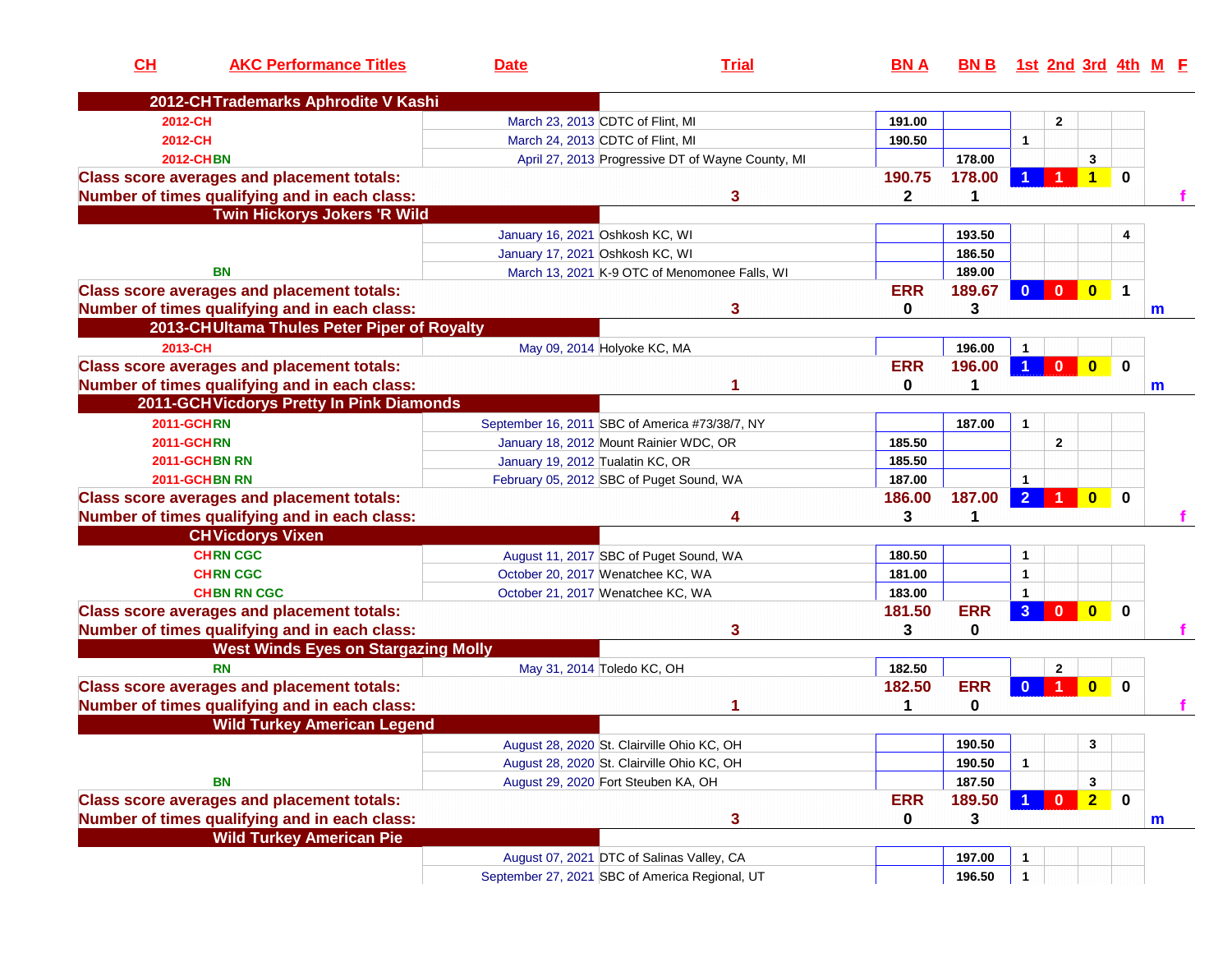| CH      | <b>AKC Performance Titles</b>                     | <b>Date</b>                                    | <b>Trial</b>                                      | <b>BNA</b>   | <u>BN B</u> |                |                |                |                  | <u>1st 2nd 3rd 4th M F</u> |
|---------|---------------------------------------------------|------------------------------------------------|---------------------------------------------------|--------------|-------------|----------------|----------------|----------------|------------------|----------------------------|
|         | 2012-CHTrademarks Aphrodite V Kashi               |                                                |                                                   |              |             |                |                |                |                  |                            |
| 2012-CH |                                                   | March 23, 2013 CDTC of Flint, MI               |                                                   | 191.00       |             |                | $\mathbf{2}$   |                |                  |                            |
| 2012-CH |                                                   | March 24, 2013 CDTC of Flint, MI               |                                                   | 190.50       |             | $\mathbf{1}$   |                |                |                  |                            |
|         | <b>2012-CHBN</b>                                  |                                                | April 27, 2013 Progressive DT of Wayne County, MI |              | 178.00      |                |                | 3              |                  |                            |
|         | <b>Class score averages and placement totals:</b> |                                                |                                                   | 190.75       | 178.00      |                |                | 1              | $\bf{0}$         |                            |
|         | Number of times qualifying and in each class:     |                                                | 3                                                 | $\mathbf{2}$ | 1           |                |                |                |                  |                            |
|         | <b>Twin Hickorys Jokers 'R Wild</b>               |                                                |                                                   |              |             |                |                |                |                  |                            |
|         |                                                   | January 16, 2021 Oshkosh KC, WI                |                                                   |              | 193.50      |                |                |                | 4                |                            |
|         |                                                   | January 17, 2021 Oshkosh KC, WI                |                                                   |              | 186.50      |                |                |                |                  |                            |
|         | <b>BN</b>                                         | March 13, 2021 K-9 OTC of Menomonee Falls, WI  |                                                   |              | 189.00      |                |                |                |                  |                            |
|         | <b>Class score averages and placement totals:</b> |                                                |                                                   | <b>ERR</b>   | 189.67      | $\mathbf{0}$   | $\mathbf{0}$   | $\bullet$      | $\mathbf 1$      |                            |
|         | Number of times qualifying and in each class:     |                                                | 3                                                 | 0            | 3           |                |                |                |                  | $\mathsf{m}$               |
|         | 2013-CHUItama Thules Peter Piper of Royalty       |                                                |                                                   |              |             |                |                |                |                  |                            |
| 2013-CH |                                                   | May 09, 2014 Holyoke KC, MA                    |                                                   |              | 196.00      | -1             |                |                |                  |                            |
|         | <b>Class score averages and placement totals:</b> |                                                |                                                   | <b>ERR</b>   | 196.00      |                | $\bf{0}$       | $\bullet$      | $\mathbf 0$      |                            |
|         | Number of times qualifying and in each class:     |                                                |                                                   | 0            | 1           |                |                |                |                  | m                          |
|         | 2011-GCHVicdorys Pretty In Pink Diamonds          |                                                |                                                   |              |             |                |                |                |                  |                            |
|         | <b>2011-GCHRN</b>                                 | September 16, 2011 SBC of America #73/38/7, NY |                                                   |              | 187.00      | $\mathbf{1}$   |                |                |                  |                            |
|         | <b>2011-GCHRN</b>                                 | January 18, 2012 Mount Rainier WDC, OR         |                                                   | 185.50       |             |                | $\overline{2}$ |                |                  |                            |
|         | 2011-GCHBN RN                                     | January 19, 2012 Tualatin KC, OR               |                                                   | 185.50       |             |                |                |                |                  |                            |
|         | 2011-GCHBN RN                                     | February 05, 2012 SBC of Puget Sound, WA       |                                                   | 187.00       |             | $\mathbf{1}$   |                |                |                  |                            |
|         | <b>Class score averages and placement totals:</b> |                                                |                                                   | 186.00       | 187.00      | $\overline{2}$ |                | $\bf{0}$       | $\bf{0}$         |                            |
|         | Number of times qualifying and in each class:     |                                                | 4                                                 | 3            | 1           |                |                |                |                  |                            |
|         | <b>CHVicdorys Vixen</b>                           |                                                |                                                   |              |             |                |                |                |                  |                            |
|         | <b>CHRN CGC</b>                                   | August 11, 2017 SBC of Puget Sound, WA         |                                                   | 180.50       |             | 1              |                |                |                  |                            |
|         | <b>CHRN CGC</b>                                   | October 20, 2017 Wenatchee KC, WA              |                                                   | 181.00       |             | 1              |                |                |                  |                            |
|         | <b>CHBN RN CGC</b>                                | October 21, 2017 Wenatchee KC, WA              |                                                   | 183.00       |             | $\mathbf{1}$   |                |                |                  |                            |
|         | <b>Class score averages and placement totals:</b> |                                                |                                                   | 181.50       | <b>ERR</b>  | 3 <sup>2</sup> | $\mathbf{0}$   | $\mathbf{0}$   | $\bf{0}$         |                            |
|         | Number of times qualifying and in each class:     |                                                | 3                                                 | 3            | 0           |                |                |                |                  |                            |
|         | <b>West Winds Eyes on Stargazing Molly</b>        |                                                |                                                   |              |             |                |                |                |                  |                            |
|         | <b>RN</b>                                         | May 31, 2014 Toledo KC, OH                     |                                                   | 182.50       |             |                | $\overline{2}$ |                |                  |                            |
|         | <b>Class score averages and placement totals:</b> |                                                |                                                   | 182.50       | <b>ERR</b>  | $\mathbf{0}$   | 1              | $\bf{0}$       | $\bf{0}$         |                            |
|         | Number of times qualifying and in each class:     |                                                |                                                   | 1            | $\bf{0}$    |                |                |                |                  |                            |
|         | <b>Wild Turkey American Legend</b>                |                                                |                                                   |              |             |                |                |                |                  |                            |
|         |                                                   | August 28, 2020 St. Clairville Ohio KC, OH     |                                                   |              | 190.50      |                |                | 3              |                  |                            |
|         |                                                   | August 28, 2020 St. Clairville Ohio KC, OH     |                                                   |              | 190.50      | $\mathbf{1}$   |                |                |                  |                            |
|         | <b>BN</b>                                         | August 29, 2020 Fort Steuben KA, OH            |                                                   |              | 187.50      |                |                | 3              |                  |                            |
|         | <b>Class score averages and placement totals:</b> |                                                |                                                   | <b>ERR</b>   | 189.50      |                | $\mathbf{0}$   | $\overline{2}$ | $\boldsymbol{0}$ |                            |
|         | Number of times qualifying and in each class:     |                                                | 3                                                 | 0            | 3           |                |                |                |                  |                            |
|         | <b>Wild Turkey American Pie</b>                   |                                                |                                                   |              |             |                |                |                |                  | $\mathbf{m}$               |
|         |                                                   |                                                |                                                   |              |             |                |                |                |                  |                            |
|         |                                                   | August 07, 2021 DTC of Salinas Valley, CA      |                                                   |              | 197.00      |                |                |                |                  |                            |
|         |                                                   | September 27, 2021 SBC of America Regional, UT |                                                   |              | 196.50      |                |                |                |                  |                            |